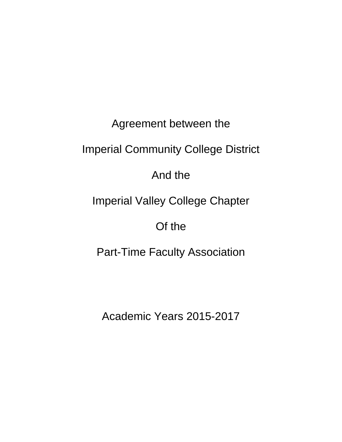Agreement between the

Imperial Community College District

And the

Imperial Valley College Chapter

Of the

Part-Time Faculty Association

Academic Years 2015-2017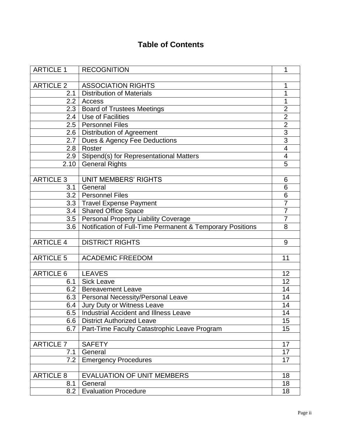# **Table of Contents**

| <b>ARTICLE 1</b>  | <b>RECOGNITION</b>                                        | 1              |
|-------------------|-----------------------------------------------------------|----------------|
| <b>ARTICLE 2</b>  | <b>ASSOCIATION RIGHTS</b>                                 |                |
| 2.1               | <b>Distribution of Materials</b>                          | 1<br>1         |
| $2.2\overline{ }$ | Access                                                    | 1              |
| 2.3               | <b>Board of Trustees Meetings</b>                         | $\overline{2}$ |
| 2.4               | Use of Facilities                                         | $\overline{2}$ |
| 2.5               | <b>Personnel Files</b>                                    | $\overline{2}$ |
| 2.6               | <b>Distribution of Agreement</b>                          | 3              |
| 2.7               | Dues & Agency Fee Deductions                              | $\overline{3}$ |
| 2.8               | Roster                                                    | $\overline{4}$ |
| 2.9               | Stipend(s) for Representational Matters                   | 4              |
| 2.10              | <b>General Rights</b>                                     | 5              |
|                   |                                                           |                |
| <b>ARTICLE 3</b>  | <b>UNIT MEMBERS' RIGHTS</b>                               | 6              |
| 3.1               | General                                                   | 6              |
| 3.2               | <b>Personnel Files</b>                                    | 6              |
| 3.3               | <b>Travel Expense Payment</b>                             | $\overline{7}$ |
|                   | 3.4   Shared Office Space                                 | $\overline{7}$ |
| 3.5               | Personal Property Liability Coverage                      | 7              |
| 3.6               | Notification of Full-Time Permanent & Temporary Positions | 8              |
|                   |                                                           |                |
| <b>ARTICLE 4</b>  | <b>DISTRICT RIGHTS</b>                                    | 9              |
|                   |                                                           |                |
| <b>ARTICLE 5</b>  | <b>ACADEMIC FREEDOM</b>                                   | 11             |
|                   |                                                           |                |
| <b>ARTICLE 6</b>  | <b>LEAVES</b>                                             | 12             |
| 6.1               | <b>Sick Leave</b>                                         | 12             |
| 6.2               | <b>Bereavement Leave</b>                                  | 14             |
| 6.3               | <b>Personal Necessity/Personal Leave</b>                  | 14             |
| 6.4               | Jury Duty or Witness Leave                                | 14             |
| 6.5               | <b>Industrial Accident and Illness Leave</b>              | 14             |
| 6.6               | <b>District Authorized Leave</b>                          | 15             |
| 6.7               | Part-Time Faculty Catastrophic Leave Program              | 15             |
|                   |                                                           |                |
| <b>ARTICLE 7</b>  | <b>SAFETY</b>                                             | 17             |
| 7.1               | General                                                   | 17             |
| 7.2               | <b>Emergency Procedures</b>                               | 17             |
|                   |                                                           |                |
| <b>ARTICLE 8</b>  | <b>EVALUATION OF UNIT MEMBERS</b>                         | 18             |
| 8.1               | General                                                   | 18             |
| 8.2               | <b>Evaluation Procedure</b>                               | 18             |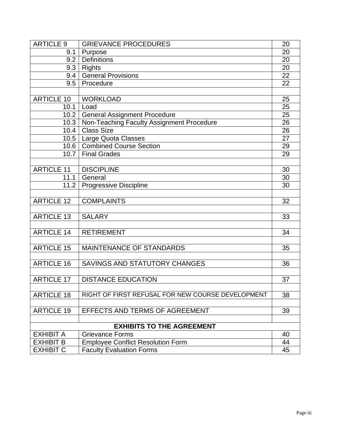| <b>ARTICLE 9</b>  | <b>GRIEVANCE PROCEDURES</b>                       | 20 |
|-------------------|---------------------------------------------------|----|
| 9.1               | Purpose                                           | 20 |
| 9.2               | <b>Definitions</b>                                | 20 |
| 9.3               | <b>Rights</b>                                     | 20 |
| 9.4               | <b>General Provisions</b>                         | 22 |
| 9.5               | Procedure                                         | 22 |
|                   |                                                   |    |
| <b>ARTICLE 10</b> | <b>WORKLOAD</b>                                   | 25 |
| 10.1              | Load                                              | 25 |
| 10.2              | <b>General Assignment Procedure</b>               | 25 |
| 10.3              | Non-Teaching Faculty Assignment Procedure         | 26 |
| 10.4              | <b>Class Size</b>                                 | 26 |
| 10.5              | Large Quota Classes                               | 27 |
|                   | 10.6   Combined Course Section                    | 29 |
| 10.7              | <b>Final Grades</b>                               | 29 |
|                   |                                                   |    |
| <b>ARTICLE 11</b> | <b>DISCIPLINE</b>                                 | 30 |
| 11.1              | General                                           | 30 |
| 11.2              | <b>Progressive Discipline</b>                     | 30 |
|                   |                                                   |    |
| <b>ARTICLE 12</b> | <b>COMPLAINTS</b>                                 | 32 |
|                   |                                                   |    |
| <b>ARTICLE 13</b> | <b>SALARY</b>                                     | 33 |
|                   |                                                   |    |
| <b>ARTICLE 14</b> | <b>RETIREMENT</b>                                 | 34 |
|                   |                                                   |    |
| <b>ARTICLE 15</b> | <b>MAINTENANCE OF STANDARDS</b>                   | 35 |
|                   |                                                   |    |
| <b>ARTICLE 16</b> | SAVINGS AND STATUTORY CHANGES                     | 36 |
|                   |                                                   |    |
| <b>ARTICLE 17</b> | <b>DISTANCE EDUCATION</b>                         | 37 |
|                   |                                                   |    |
| <b>ARTICLE 18</b> | RIGHT OF FIRST REFUSAL FOR NEW COURSE DEVELOPMENT | 38 |
|                   |                                                   |    |
| <b>ARTICLE 19</b> | EFFECTS AND TERMS OF AGREEMENT                    | 39 |
|                   |                                                   |    |
|                   | <b>EXHIBITS TO THE AGREEMENT</b>                  |    |
| <b>EXHIBIT A</b>  | <b>Grievance Forms</b>                            | 40 |
| <b>EXHIBIT B</b>  | <b>Employee Conflict Resolution Form</b>          | 44 |
| <b>EXHIBIT C</b>  | <b>Faculty Evaluation Forms</b>                   | 45 |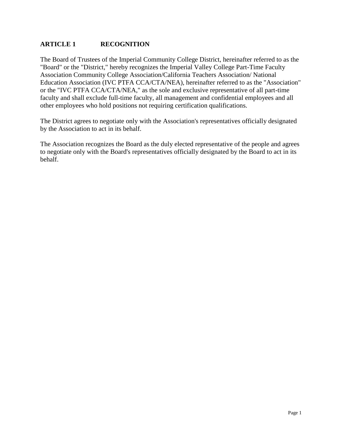# **ARTICLE 1 RECOGNITION**

The Board of Trustees of the Imperial Community College District, hereinafter referred to as the "Board" or the "District," hereby recognizes the Imperial Valley College Part-Time Faculty Association Community College Association/California Teachers Association/ National Education Association (IVC PTFA CCA/CTA/NEA), hereinafter referred to as the "Association" or the "IVC PTFA CCA/CTA/NEA," as the sole and exclusive representative of all part-time faculty and shall exclude full-time faculty, all management and confidential employees and all other employees who hold positions not requiring certification qualifications.

The District agrees to negotiate only with the Association's representatives officially designated by the Association to act in its behalf.

The Association recognizes the Board as the duly elected representative of the people and agrees to negotiate only with the Board's representatives officially designated by the Board to act in its behalf.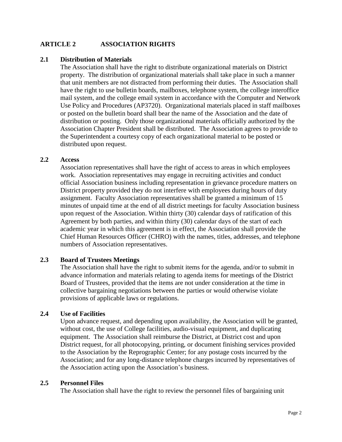# **ARTICLE 2 ASSOCIATION RIGHTS**

#### **2.1 Distribution of Materials**

The Association shall have the right to distribute organizational materials on District property. The distribution of organizational materials shall take place in such a manner that unit members are not distracted from performing their duties. The Association shall have the right to use bulletin boards, mailboxes, telephone system, the college interoffice mail system, and the college email system in accordance with the Computer and Network Use Policy and Procedures (AP3720). Organizational materials placed in staff mailboxes or posted on the bulletin board shall bear the name of the Association and the date of distribution or posting. Only those organizational materials officially authorized by the Association Chapter President shall be distributed. The Association agrees to provide to the Superintendent a courtesy copy of each organizational material to be posted or distributed upon request.

#### **2.2 Access**

Association representatives shall have the right of access to areas in which employees work. Association representatives may engage in recruiting activities and conduct official Association business including representation in grievance procedure matters on District property provided they do not interfere with employees during hours of duty assignment. Faculty Association representatives shall be granted a minimum of 15 minutes of unpaid time at the end of all district meetings for faculty Association business upon request of the Association. Within thirty (30) calendar days of ratification of this Agreement by both parties, and within thirty (30) calendar days of the start of each academic year in which this agreement is in effect, the Association shall provide the Chief Human Resources Officer (CHRO) with the names, titles, addresses, and telephone numbers of Association representatives.

#### **2.3 Board of Trustees Meetings**

The Association shall have the right to submit items for the agenda, and/or to submit in advance information and materials relating to agenda items for meetings of the District Board of Trustees, provided that the items are not under consideration at the time in collective bargaining negotiations between the parties or would otherwise violate provisions of applicable laws or regulations.

#### **2.4 Use of Facilities**

Upon advance request, and depending upon availability, the Association will be granted, without cost, the use of College facilities, audio-visual equipment, and duplicating equipment. The Association shall reimburse the District, at District cost and upon District request, for all photocopying, printing, or document finishing services provided to the Association by the Reprographic Center; for any postage costs incurred by the Association; and for any long-distance telephone charges incurred by representatives of the Association acting upon the Association's business.

#### **2.5 Personnel Files**

The Association shall have the right to review the personnel files of bargaining unit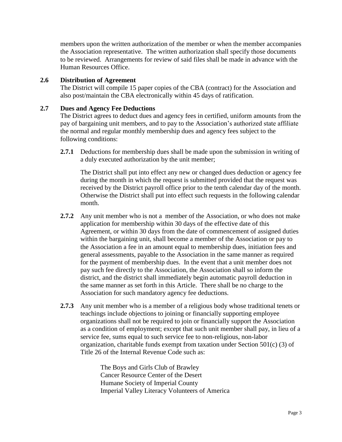members upon the written authorization of the member or when the member accompanies the Association representative. The written authorization shall specify those documents to be reviewed. Arrangements for review of said files shall be made in advance with the Human Resources Office.

# **2.6 Distribution of Agreement**

The District will compile 15 paper copies of the CBA (contract) for the Association and also post/maintain the CBA electronically within 45 days of ratification.

# **2.7 Dues and Agency Fee Deductions**

The District agrees to deduct dues and agency fees in certified, uniform amounts from the pay of bargaining unit members, and to pay to the Association's authorized state affiliate the normal and regular monthly membership dues and agency fees subject to the following conditions:

**2.7.1** Deductions for membership dues shall be made upon the submission in writing of a duly executed authorization by the unit member;

The District shall put into effect any new or changed dues deduction or agency fee during the month in which the request is submitted provided that the request was received by the District payroll office prior to the tenth calendar day of the month. Otherwise the District shall put into effect such requests in the following calendar month.

- **2.7.2** Any unit member who is not a member of the Association, or who does not make application for membership within 30 days of the effective date of this Agreement, or within 30 days from the date of commencement of assigned duties within the bargaining unit, shall become a member of the Association or pay to the Association a fee in an amount equal to membership dues, initiation fees and general assessments, payable to the Association in the same manner as required for the payment of membership dues. In the event that a unit member does not pay such fee directly to the Association, the Association shall so inform the district, and the district shall immediately begin automatic payroll deduction in the same manner as set forth in this Article. There shall be no charge to the Association for such mandatory agency fee deductions.
- **2.7.3** Any unit member who is a member of a religious body whose traditional tenets or teachings include objections to joining or financially supporting employee organizations shall not be required to join or financially support the Association as a condition of employment; except that such unit member shall pay, in lieu of a service fee, sums equal to such service fee to non-religious, non-labor organization, charitable funds exempt from taxation under Section 501(c) (3) of Title 26 of the Internal Revenue Code such as:

The Boys and Girls Club of Brawley Cancer Resource Center of the Desert Humane Society of Imperial County Imperial Valley Literacy Volunteers of America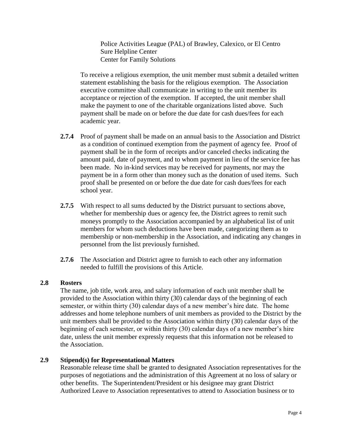Police Activities League (PAL) of Brawley, Calexico, or El Centro Sure Helpline Center Center for Family Solutions

To receive a religious exemption, the unit member must submit a detailed written statement establishing the basis for the religious exemption. The Association executive committee shall communicate in writing to the unit member its acceptance or rejection of the exemption. If accepted, the unit member shall make the payment to one of the charitable organizations listed above. Such payment shall be made on or before the due date for cash dues/fees for each academic year.

- **2.7.4** Proof of payment shall be made on an annual basis to the Association and District as a condition of continued exemption from the payment of agency fee. Proof of payment shall be in the form of receipts and/or canceled checks indicating the amount paid, date of payment, and to whom payment in lieu of the service fee has been made. No in-kind services may be received for payments, nor may the payment be in a form other than money such as the donation of used items. Such proof shall be presented on or before the due date for cash dues/fees for each school year.
- **2.7.5** With respect to all sums deducted by the District pursuant to sections above, whether for membership dues or agency fee, the District agrees to remit such moneys promptly to the Association accompanied by an alphabetical list of unit members for whom such deductions have been made, categorizing them as to membership or non-membership in the Association, and indicating any changes in personnel from the list previously furnished.
- **2.7.6** The Association and District agree to furnish to each other any information needed to fulfill the provisions of this Article.

# **2.8 Rosters**

The name, job title, work area, and salary information of each unit member shall be provided to the Association within thirty (30) calendar days of the beginning of each semester, or within thirty (30) calendar days of a new member's hire date. The home addresses and home telephone numbers of unit members as provided to the District by the unit members shall be provided to the Association within thirty (30) calendar days of the beginning of each semester, or within thirty (30) calendar days of a new member's hire date, unless the unit member expressly requests that this information not be released to the Association.

# **2.9 Stipend(s) for Representational Matters**

Reasonable release time shall be granted to designated Association representatives for the purposes of negotiations and the administration of this Agreement at no loss of salary or other benefits. The Superintendent/President or his designee may grant District Authorized Leave to Association representatives to attend to Association business or to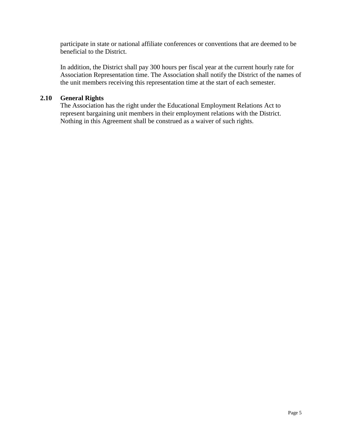participate in state or national affiliate conferences or conventions that are deemed to be beneficial to the District.

In addition, the District shall pay 300 hours per fiscal year at the current hourly rate for Association Representation time. The Association shall notify the District of the names of the unit members receiving this representation time at the start of each semester.

## **2.10 General Rights**

The Association has the right under the Educational Employment Relations Act to represent bargaining unit members in their employment relations with the District. Nothing in this Agreement shall be construed as a waiver of such rights.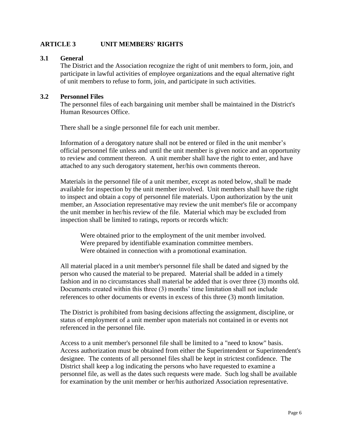# **ARTICLE 3 UNIT MEMBERS' RIGHTS**

#### **3.1 General**

The District and the Association recognize the right of unit members to form, join, and participate in lawful activities of employee organizations and the equal alternative right of unit members to refuse to form, join, and participate in such activities.

#### **3.2 Personnel Files**

The personnel files of each bargaining unit member shall be maintained in the District's Human Resources Office.

There shall be a single personnel file for each unit member.

Information of a derogatory nature shall not be entered or filed in the unit member's official personnel file unless and until the unit member is given notice and an opportunity to review and comment thereon. A unit member shall have the right to enter, and have attached to any such derogatory statement, her/his own comments thereon.

Materials in the personnel file of a unit member, except as noted below, shall be made available for inspection by the unit member involved. Unit members shall have the right to inspect and obtain a copy of personnel file materials. Upon authorization by the unit member, an Association representative may review the unit member's file or accompany the unit member in her/his review of the file. Material which may be excluded from inspection shall be limited to ratings, reports or records which:

Were obtained prior to the employment of the unit member involved. Were prepared by identifiable examination committee members. Were obtained in connection with a promotional examination.

All material placed in a unit member's personnel file shall be dated and signed by the person who caused the material to be prepared. Material shall be added in a timely fashion and in no circumstances shall material be added that is over three (3) months old. Documents created within this three (3) months' time limitation shall not include references to other documents or events in excess of this three (3) month limitation.

The District is prohibited from basing decisions affecting the assignment, discipline, or status of employment of a unit member upon materials not contained in or events not referenced in the personnel file.

Access to a unit member's personnel file shall be limited to a "need to know" basis. Access authorization must be obtained from either the Superintendent or Superintendent's designee. The contents of all personnel files shall be kept in strictest confidence. The District shall keep a log indicating the persons who have requested to examine a personnel file, as well as the dates such requests were made. Such log shall be available for examination by the unit member or her/his authorized Association representative.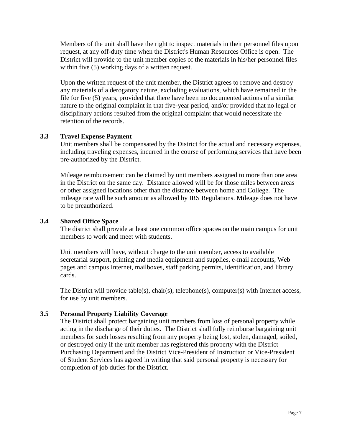Members of the unit shall have the right to inspect materials in their personnel files upon request, at any off-duty time when the District's Human Resources Office is open. The District will provide to the unit member copies of the materials in his/her personnel files within five (5) working days of a written request.

Upon the written request of the unit member, the District agrees to remove and destroy any materials of a derogatory nature, excluding evaluations, which have remained in the file for five (5) years, provided that there have been no documented actions of a similar nature to the original complaint in that five-year period, and/or provided that no legal or disciplinary actions resulted from the original complaint that would necessitate the retention of the records.

# **3.3 Travel Expense Payment**

Unit members shall be compensated by the District for the actual and necessary expenses, including traveling expenses, incurred in the course of performing services that have been pre-authorized by the District.

Mileage reimbursement can be claimed by unit members assigned to more than one area in the District on the same day. Distance allowed will be for those miles between areas or other assigned locations other than the distance between home and College. The mileage rate will be such amount as allowed by IRS Regulations. Mileage does not have to be preauthorized.

# **3.4 Shared Office Space**

The district shall provide at least one common office spaces on the main campus for unit members to work and meet with students.

Unit members will have, without charge to the unit member, access to available secretarial support, printing and media equipment and supplies, e-mail accounts, Web pages and campus Internet, mailboxes, staff parking permits, identification, and library cards.

The District will provide table(s), chair(s), telephone(s), computer(s) with Internet access, for use by unit members.

#### **3.5 Personal Property Liability Coverage**

The District shall protect bargaining unit members from loss of personal property while acting in the discharge of their duties. The District shall fully reimburse bargaining unit members for such losses resulting from any property being lost, stolen, damaged, soiled, or destroyed only if the unit member has registered this property with the District Purchasing Department and the District Vice-President of Instruction or Vice-President of Student Services has agreed in writing that said personal property is necessary for completion of job duties for the District.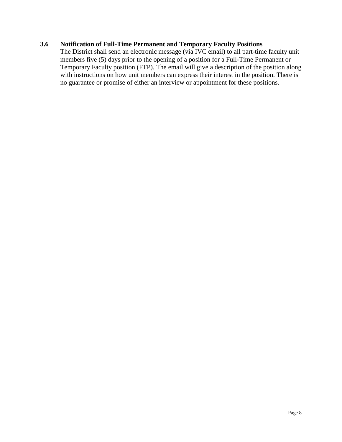# **3.6 Notification of Full-Time Permanent and Temporary Faculty Positions**

The District shall send an electronic message (via IVC email) to all part-time faculty unit members five (5) days prior to the opening of a position for a Full-Time Permanent or Temporary Faculty position (FTP). The email will give a description of the position along with instructions on how unit members can express their interest in the position. There is no guarantee or promise of either an interview or appointment for these positions.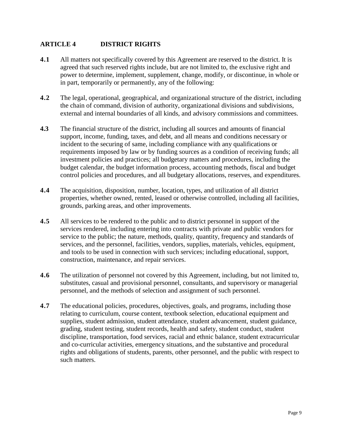# **ARTICLE 4 DISTRICT RIGHTS**

- **4.1** All matters not specifically covered by this Agreement are reserved to the district. It is agreed that such reserved rights include, but are not limited to, the exclusive right and power to determine, implement, supplement, change, modify, or discontinue, in whole or in part, temporarily or permanently, any of the following:
- **4.2** The legal, operational, geographical, and organizational structure of the district, including the chain of command, division of authority, organizational divisions and subdivisions, external and internal boundaries of all kinds, and advisory commissions and committees.
- **4.3** The financial structure of the district, including all sources and amounts of financial support, income, funding, taxes, and debt, and all means and conditions necessary or incident to the securing of same, including compliance with any qualifications or requirements imposed by law or by funding sources as a condition of receiving funds; all investment policies and practices; all budgetary matters and procedures, including the budget calendar, the budget information process, accounting methods, fiscal and budget control policies and procedures, and all budgetary allocations, reserves, and expenditures.
- **4.4** The acquisition, disposition, number, location, types, and utilization of all district properties, whether owned, rented, leased or otherwise controlled, including all facilities, grounds, parking areas, and other improvements.
- **4.5** All services to be rendered to the public and to district personnel in support of the services rendered, including entering into contracts with private and public vendors for service to the public; the nature, methods, quality, quantity, frequency and standards of services, and the personnel, facilities, vendors, supplies, materials, vehicles, equipment, and tools to be used in connection with such services; including educational, support, construction, maintenance, and repair services.
- **4.6** The utilization of personnel not covered by this Agreement, including, but not limited to, substitutes, casual and provisional personnel, consultants, and supervisory or managerial personnel, and the methods of selection and assignment of such personnel.
- **4.7** The educational policies, procedures, objectives, goals, and programs, including those relating to curriculum, course content, textbook selection, educational equipment and supplies, student admission, student attendance, student advancement, student guidance, grading, student testing, student records, health and safety, student conduct, student discipline, transportation, food services, racial and ethnic balance, student extracurricular and co-curricular activities, emergency situations, and the substantive and procedural rights and obligations of students, parents, other personnel, and the public with respect to such matters.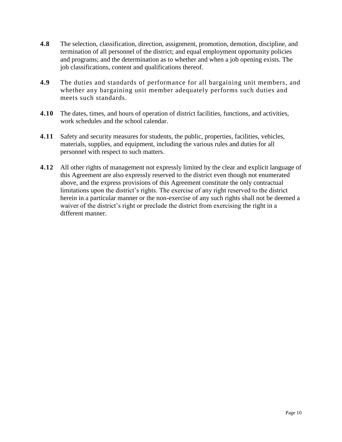- **4.8** The selection, classification, direction, assignment, promotion, demotion, discipline, and termination of all personnel of the district; and equal employment opportunity policies and programs; and the determination as to whether and when a job opening exists. The job classifications, content and qualifications thereof.
- **4.9** The duties and standards of performance for all bargaining unit members, and whether any bargaining unit member adequately performs such duties and meets such standards.
- **4.10** The dates, times, and hours of operation of district facilities, functions, and activities, work schedules and the school calendar.
- **4.11** Safety and security measures for students, the public, properties, facilities, vehicles, materials, supplies, and equipment, including the various rules and duties for all personnel with respect to such matters.
- **4.12** All other rights of management not expressly limited by the clear and explicit language of this Agreement are also expressly reserved to the district even though not enumerated above, and the express provisions of this Agreement constitute the only contractual limitations upon the district's rights. The exercise of any right reserved to the district herein in a particular manner or the non-exercise of any such rights shall not be deemed a waiver of the district's right or preclude the district from exercising the right in a different manner.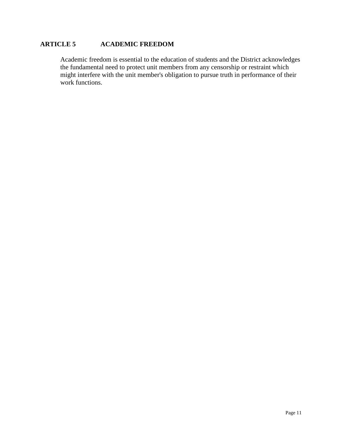# **ARTICLE 5 ACADEMIC FREEDOM**

Academic freedom is essential to the education of students and the District acknowledges the fundamental need to protect unit members from any censorship or restraint which might interfere with the unit member's obligation to pursue truth in performance of their work functions.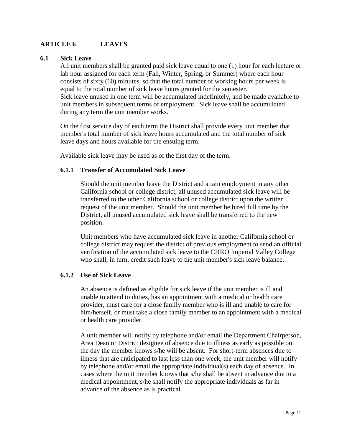# **ARTICLE 6 LEAVES**

#### **6.1 Sick Leave**

All unit members shall be granted paid sick leave equal to one (1) hour for each lecture or lab hour assigned for each term (Fall, Winter, Spring, or Summer) where each hour consists of sixty (60) minutes, so that the total number of working hours per week is equal to the total number of sick leave hours granted for the semester. Sick leave unused in one term will be accumulated indefinitely, and be made available to unit members in subsequent terms of employment. Sick leave shall be accumulated during any term the unit member works.

On the first service day of each term the District shall provide every unit member that member's total number of sick leave hours accumulated and the total number of sick leave days and hours available for the ensuing term.

Available sick leave may be used as of the first day of the term.

#### **6.1.1 Transfer of Accumulated Sick Leave**

Should the unit member leave the District and attain employment in any other California school or college district, all unused accumulated sick leave will be transferred to the other California school or college district upon the written request of the unit member. Should the unit member be hired full time by the District, all unused accumulated sick leave shall be transferred to the new position.

Unit members who have accumulated sick leave in another California school or college district may request the district of previous employment to send an official verification of the accumulated sick leave to the CHRO Imperial Valley College who shall, in turn, credit such leave to the unit member's sick leave balance.

#### **6.1.2 Use of Sick Leave**

An absence is defined as eligible for sick leave if the unit member is ill and unable to attend to duties, has an appointment with a medical or health care provider, must care for a close family member who is ill and unable to care for him/herself, or must take a close family member to an appointment with a medical or health care provider.

A unit member will notify by telephone and/or email the Department Chairperson, Area Dean or District designee of absence due to illness as early as possible on the day the member knows s/he will be absent. For short-term absences due to illness that are anticipated to last less than one week, the unit member will notify by telephone and/or email the appropriate individual(s) each day of absence. In cases where the unit member knows that s/he shall be absent in advance due to a medical appointment, s/he shall notify the appropriate individuals as far in advance of the absence as is practical.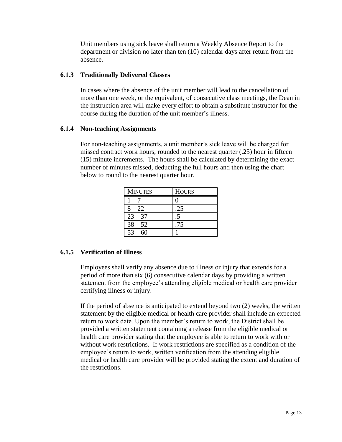Unit members using sick leave shall return a Weekly Absence Report to the department or division no later than ten (10) calendar days after return from the absence.

# **6.1.3 Traditionally Delivered Classes**

In cases where the absence of the unit member will lead to the cancellation of more than one week, or the equivalent, of consecutive class meetings, the Dean in the instruction area will make every effort to obtain a substitute instructor for the course during the duration of the unit member's illness.

# **6.1.4 Non-teaching Assignments**

For non-teaching assignments, a unit member's sick leave will be charged for missed contract work hours, rounded to the nearest quarter (.25) hour in fifteen (15) minute increments. The hours shall be calculated by determining the exact number of minutes missed, deducting the full hours and then using the chart below to round to the nearest quarter hour.

| <b>MINUTES</b> | <b>HOURS</b> |
|----------------|--------------|
| $1 - 7$        |              |
| $8 - 22$       | .25          |
| $23 - 37$      |              |
| $38 - 52$      | .75          |
| $53 - 60$      |              |

# **6.1.5 Verification of Illness**

Employees shall verify any absence due to illness or injury that extends for a period of more than six (6) consecutive calendar days by providing a written statement from the employee's attending eligible medical or health care provider certifying illness or injury.

If the period of absence is anticipated to extend beyond two (2) weeks, the written statement by the eligible medical or health care provider shall include an expected return to work date. Upon the member's return to work, the District shall be provided a written statement containing a release from the eligible medical or health care provider stating that the employee is able to return to work with or without work restrictions. If work restrictions are specified as a condition of the employee's return to work, written verification from the attending eligible medical or health care provider will be provided stating the extent and duration of the restrictions.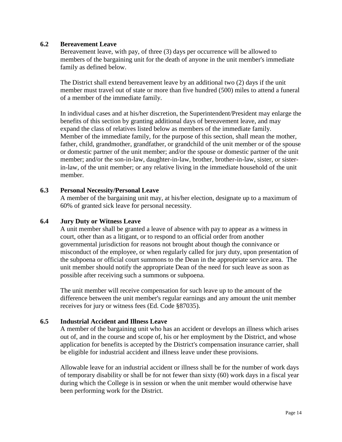#### **6.2 Bereavement Leave**

Bereavement leave, with pay, of three (3) days per occurrence will be allowed to members of the bargaining unit for the death of anyone in the unit member's immediate family as defined below.

The District shall extend bereavement leave by an additional two (2) days if the unit member must travel out of state or more than five hundred (500) miles to attend a funeral of a member of the immediate family.

In individual cases and at his/her discretion, the Superintendent/President may enlarge the benefits of this section by granting additional days of bereavement leave, and may expand the class of relatives listed below as members of the immediate family. Member of the immediate family, for the purpose of this section, shall mean the mother, father, child, grandmother, grandfather, or grandchild of the unit member or of the spouse or domestic partner of the unit member; and/or the spouse or domestic partner of the unit member; and/or the son-in-law, daughter-in-law, brother, brother-in-law, sister, or sisterin-law, of the unit member; or any relative living in the immediate household of the unit member.

#### **6.3 Personal Necessity/Personal Leave**

A member of the bargaining unit may, at his/her election, designate up to a maximum of 60% of granted sick leave for personal necessity.

#### **6.4 Jury Duty or Witness Leave**

A unit member shall be granted a leave of absence with pay to appear as a witness in court, other than as a litigant, or to respond to an official order from another governmental jurisdiction for reasons not brought about though the connivance or misconduct of the employee, or when regularly called for jury duty, upon presentation of the subpoena or official court summons to the Dean in the appropriate service area. The unit member should notify the appropriate Dean of the need for such leave as soon as possible after receiving such a summons or subpoena.

The unit member will receive compensation for such leave up to the amount of the difference between the unit member's regular earnings and any amount the unit member receives for jury or witness fees (Ed. Code §87035).

#### **6.5 Industrial Accident and Illness Leave**

A member of the bargaining unit who has an accident or develops an illness which arises out of, and in the course and scope of, his or her employment by the District, and whose application for benefits is accepted by the District's compensation insurance carrier, shall be eligible for industrial accident and illness leave under these provisions.

Allowable leave for an industrial accident or illness shall be for the number of work days of temporary disability or shall be for not fewer than sixty (60) work days in a fiscal year during which the College is in session or when the unit member would otherwise have been performing work for the District.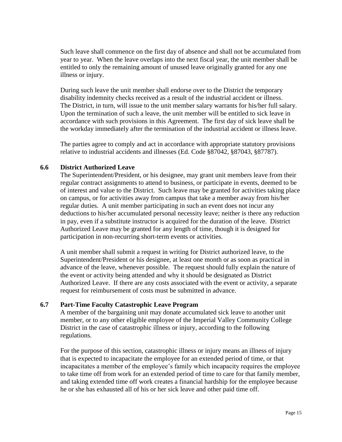Such leave shall commence on the first day of absence and shall not be accumulated from year to year. When the leave overlaps into the next fiscal year, the unit member shall be entitled to only the remaining amount of unused leave originally granted for any one illness or injury.

During such leave the unit member shall endorse over to the District the temporary disability indemnity checks received as a result of the industrial accident or illness. The District, in turn, will issue to the unit member salary warrants for his/her full salary. Upon the termination of such a leave, the unit member will be entitled to sick leave in accordance with such provisions in this Agreement. The first day of sick leave shall be the workday immediately after the termination of the industrial accident or illness leave.

The parties agree to comply and act in accordance with appropriate statutory provisions relative to industrial accidents and illnesses (Ed. Code §87042, §87043, §87787).

#### **6.6 District Authorized Leave**

The Superintendent/President, or his designee, may grant unit members leave from their regular contract assignments to attend to business, or participate in events, deemed to be of interest and value to the District. Such leave may be granted for activities taking place on campus, or for activities away from campus that take a member away from his/her regular duties. A unit member participating in such an event does not incur any deductions to his/her accumulated personal necessity leave; neither is there any reduction in pay, even if a substitute instructor is acquired for the duration of the leave. District Authorized Leave may be granted for any length of time, though it is designed for participation in non-recurring short-term events or activities.

A unit member shall submit a request in writing for District authorized leave, to the Superintendent/President or his designee, at least one month or as soon as practical in advance of the leave, whenever possible. The request should fully explain the nature of the event or activity being attended and why it should be designated as District Authorized Leave. If there are any costs associated with the event or activity, a separate request for reimbursement of costs must be submitted in advance.

#### **6.7 Part-Time Faculty Catastrophic Leave Program**

A member of the bargaining unit may donate accumulated sick leave to another unit member, or to any other eligible employee of the Imperial Valley Community College District in the case of catastrophic illness or injury, according to the following regulations.

For the purpose of this section, catastrophic illness or injury means an illness of injury that is expected to incapacitate the employee for an extended period of time, or that incapacitates a member of the employee's family which incapacity requires the employee to take time off from work for an extended period of time to care for that family member, and taking extended time off work creates a financial hardship for the employee because he or she has exhausted all of his or her sick leave and other paid time off.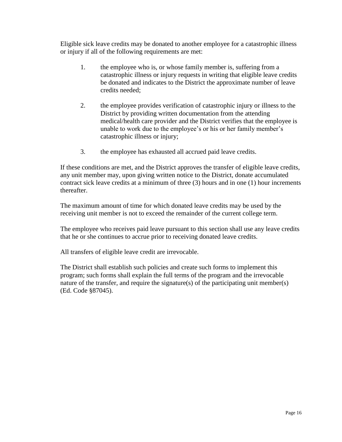Eligible sick leave credits may be donated to another employee for a catastrophic illness or injury if all of the following requirements are met:

- 1. the employee who is, or whose family member is, suffering from a catastrophic illness or injury requests in writing that eligible leave credits be donated and indicates to the District the approximate number of leave credits needed;
- 2. the employee provides verification of catastrophic injury or illness to the District by providing written documentation from the attending medical/health care provider and the District verifies that the employee is unable to work due to the employee's or his or her family member's catastrophic illness or injury;
- 3. the employee has exhausted all accrued paid leave credits.

If these conditions are met, and the District approves the transfer of eligible leave credits, any unit member may, upon giving written notice to the District, donate accumulated contract sick leave credits at a minimum of three (3) hours and in one (1) hour increments thereafter.

The maximum amount of time for which donated leave credits may be used by the receiving unit member is not to exceed the remainder of the current college term.

The employee who receives paid leave pursuant to this section shall use any leave credits that he or she continues to accrue prior to receiving donated leave credits.

All transfers of eligible leave credit are irrevocable.

The District shall establish such policies and create such forms to implement this program; such forms shall explain the full terms of the program and the irrevocable nature of the transfer, and require the signature(s) of the participating unit member(s) (Ed. Code §87045).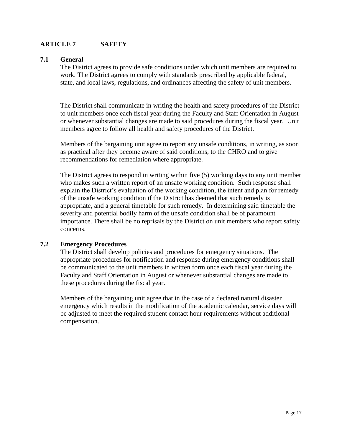# **ARTICLE 7 SAFETY**

#### **7.1 General**

The District agrees to provide safe conditions under which unit members are required to work. The District agrees to comply with standards prescribed by applicable federal, state, and local laws, regulations, and ordinances affecting the safety of unit members.

The District shall communicate in writing the health and safety procedures of the District to unit members once each fiscal year during the Faculty and Staff Orientation in August or whenever substantial changes are made to said procedures during the fiscal year. Unit members agree to follow all health and safety procedures of the District.

Members of the bargaining unit agree to report any unsafe conditions, in writing, as soon as practical after they become aware of said conditions, to the CHRO and to give recommendations for remediation where appropriate.

The District agrees to respond in writing within five (5) working days to any unit member who makes such a written report of an unsafe working condition. Such response shall explain the District's evaluation of the working condition, the intent and plan for remedy of the unsafe working condition if the District has deemed that such remedy is appropriate, and a general timetable for such remedy. In determining said timetable the severity and potential bodily harm of the unsafe condition shall be of paramount importance. There shall be no reprisals by the District on unit members who report safety concerns.

#### **7.2 Emergency Procedures**

The District shall develop policies and procedures for emergency situations. The appropriate procedures for notification and response during emergency conditions shall be communicated to the unit members in written form once each fiscal year during the Faculty and Staff Orientation in August or whenever substantial changes are made to these procedures during the fiscal year.

Members of the bargaining unit agree that in the case of a declared natural disaster emergency which results in the modification of the academic calendar, service days will be adjusted to meet the required student contact hour requirements without additional compensation.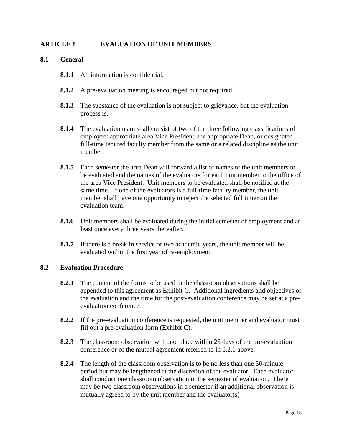# **ARTICLE 8 EVALUATION OF UNIT MEMBERS**

#### **8.1 General**

- **8.1.1** All information is confidential.
- **8.1.2** A pre-evaluation meeting is encouraged but not required.
- **8.1.3** The substance of the evaluation is not subject to grievance, but the evaluation process is.
- **8.1.4** The evaluation team shall consist of two of the three following classifications of employee: appropriate area Vice President, the appropriate Dean, or designated full-time tenured faculty member from the same or a related discipline as the unit member.
- **8.1.5** Each semester the area Dean will forward a list of names of the unit members to be evaluated and the names of the evaluators for each unit member to the office of the area Vice President. Unit members to be evaluated shall be notified at the same time. If one of the evaluators is a full-time faculty member, the unit member shall have one opportunity to reject the selected full timer on the evaluation team.
- **8.1.6** Unit members shall be evaluated during the initial semester of employment and at least once every three years thereafter.
- **8.1.7** If there is a break in service of two academic years, the unit member will be evaluated within the first year of re-employment.

#### **8.2 Evaluation Procedure**

- **8.2.1** The content of the forms to be used in the classroom observations shall be appended to this agreement as Exhibit C. Additional ingredients and objectives of the evaluation and the time for the post-evaluation conference may be set at a preevaluation conference.
- **8.2.2** If the pre-evaluation conference is requested, the unit member and evaluator must fill out a pre-evaluation form (Exhibit C).
- **8.2.3** The classroom observation will take place within 25 days of the pre-evaluation conference or of the mutual agreement referred to in 8.2.1 above.
- **8.2.4** The length of the classroom observation is to be no less than one 50-minute period but may be lengthened at the discretion of the evaluator. Each evaluator shall conduct one classroom observation in the semester of evaluation. There may be two classroom observations in a semester if an additional observation is mutually agreed to by the unit member and the evaluator(s)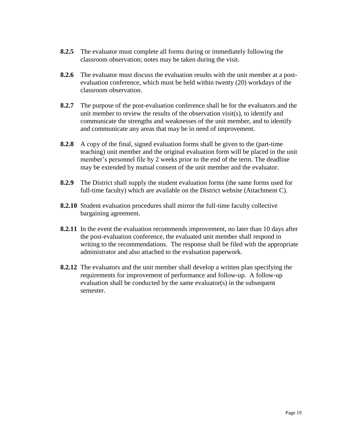- **8.2.5** The evaluator must complete all forms during or immediately following the classroom observation; notes may be taken during the visit.
- **8.2.6** The evaluator must discuss the evaluation results with the unit member at a postevaluation conference, which must be held within twenty (20) workdays of the classroom observation.
- **8.2.7** The purpose of the post-evaluation conference shall be for the evaluators and the unit member to review the results of the observation visit(s), to identify and communicate the strengths and weaknesses of the unit member, and to identify and communicate any areas that may be in need of improvement.
- **8.2.8** A copy of the final, signed evaluation forms shall be given to the (part-time teaching) unit member and the original evaluation form will be placed in the unit member's personnel file by 2 weeks prior to the end of the term. The deadline may be extended by mutual consent of the unit member and the evaluator.
- **8.2.9** The District shall supply the student evaluation forms (the same forms used for full-time faculty) which are available on the District website (Attachment C).
- **8.2.10** Student evaluation procedures shall mirror the full-time faculty collective bargaining agreement.
- **8.2.11** In the event the evaluation recommends improvement, no later than 10 days after the post-evaluation conference, the evaluated unit member shall respond in writing to the recommendations. The response shall be filed with the appropriate administrator and also attached to the evaluation paperwork.
- **8.2.12** The evaluators and the unit member shall develop a written plan specifying the requirements for improvement of performance and follow-up. A follow-up evaluation shall be conducted by the same evaluator(s) in the subsequent semester.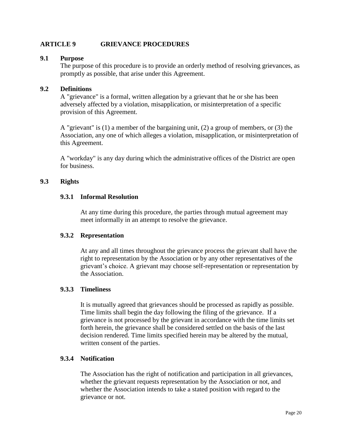# **ARTICLE 9 GRIEVANCE PROCEDURES**

#### **9.1 Purpose**

The purpose of this procedure is to provide an orderly method of resolving grievances, as promptly as possible, that arise under this Agreement.

#### **9.2 Definitions**

A "grievance" is a formal, written allegation by a grievant that he or she has been adversely affected by a violation, misapplication, or misinterpretation of a specific provision of this Agreement.

A "grievant" is (1) a member of the bargaining unit, (2) a group of members, or (3) the Association, any one of which alleges a violation, misapplication, or misinterpretation of this Agreement.

A "workday" is any day during which the administrative offices of the District are open for business.

#### **9.3 Rights**

#### **9.3.1 Informal Resolution**

At any time during this procedure, the parties through mutual agreement may meet informally in an attempt to resolve the grievance.

#### **9.3.2 Representation**

At any and all times throughout the grievance process the grievant shall have the right to representation by the Association or by any other representatives of the grievant's choice. A grievant may choose self-representation or representation by the Association.

#### **9.3.3 Timeliness**

It is mutually agreed that grievances should be processed as rapidly as possible. Time limits shall begin the day following the filing of the grievance. If a grievance is not processed by the grievant in accordance with the time limits set forth herein, the grievance shall be considered settled on the basis of the last decision rendered. Time limits specified herein may be altered by the mutual, written consent of the parties.

#### **9.3.4 Notification**

The Association has the right of notification and participation in all grievances, whether the grievant requests representation by the Association or not, and whether the Association intends to take a stated position with regard to the grievance or not.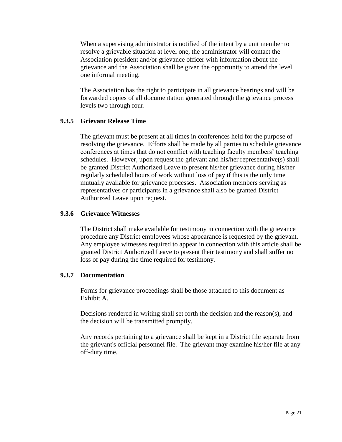When a supervising administrator is notified of the intent by a unit member to resolve a grievable situation at level one, the administrator will contact the Association president and/or grievance officer with information about the grievance and the Association shall be given the opportunity to attend the level one informal meeting.

The Association has the right to participate in all grievance hearings and will be forwarded copies of all documentation generated through the grievance process levels two through four.

# **9.3.5 Grievant Release Time**

The grievant must be present at all times in conferences held for the purpose of resolving the grievance. Efforts shall be made by all parties to schedule grievance conferences at times that do not conflict with teaching faculty members' teaching schedules. However, upon request the grievant and his/her representative(s) shall be granted District Authorized Leave to present his/her grievance during his/her regularly scheduled hours of work without loss of pay if this is the only time mutually available for grievance processes. Association members serving as representatives or participants in a grievance shall also be granted District Authorized Leave upon request.

#### **9.3.6 Grievance Witnesses**

The District shall make available for testimony in connection with the grievance procedure any District employees whose appearance is requested by the grievant. Any employee witnesses required to appear in connection with this article shall be granted District Authorized Leave to present their testimony and shall suffer no loss of pay during the time required for testimony.

#### **9.3.7 Documentation**

Forms for grievance proceedings shall be those attached to this document as Exhibit A.

Decisions rendered in writing shall set forth the decision and the reason(s), and the decision will be transmitted promptly.

Any records pertaining to a grievance shall be kept in a District file separate from the grievant's official personnel file. The grievant may examine his/her file at any off-duty time.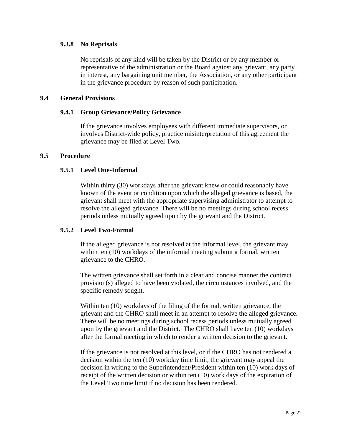#### **9.3.8 No Reprisals**

No reprisals of any kind will be taken by the District or by any member or representative of the administration or the Board against any grievant, any party in interest, any bargaining unit member, the Association, or any other participant in the grievance procedure by reason of such participation.

#### **9.4 General Provisions**

#### **9.4.1 Group Grievance/Policy Grievance**

If the grievance involves employees with different immediate supervisors, or involves District-wide policy, practice misinterpretation of this agreement the grievance may be filed at Level Two.

#### **9.5 Procedure**

#### **9.5.1 Level One-Informal**

Within thirty (30) workdays after the grievant knew or could reasonably have known of the event or condition upon which the alleged grievance is based, the grievant shall meet with the appropriate supervising administrator to attempt to resolve the alleged grievance. There will be no meetings during school recess periods unless mutually agreed upon by the grievant and the District.

#### **9.5.2 Level Two-Formal**

If the alleged grievance is not resolved at the informal level, the grievant may within ten (10) workdays of the informal meeting submit a formal, written grievance to the CHRO.

The written grievance shall set forth in a clear and concise manner the contract provision(s) alleged to have been violated, the circumstances involved, and the specific remedy sought.

Within ten (10) workdays of the filing of the formal, written grievance, the grievant and the CHRO shall meet in an attempt to resolve the alleged grievance. There will be no meetings during school recess periods unless mutually agreed upon by the grievant and the District. The CHRO shall have ten (10) workdays after the formal meeting in which to render a written decision to the grievant.

If the grievance is not resolved at this level, or if the CHRO has not rendered a decision within the ten (10) workday time limit, the grievant may appeal the decision in writing to the Superintendent/President within ten (10) work days of receipt of the written decision or within ten (10) work days of the expiration of the Level Two time limit if no decision has been rendered.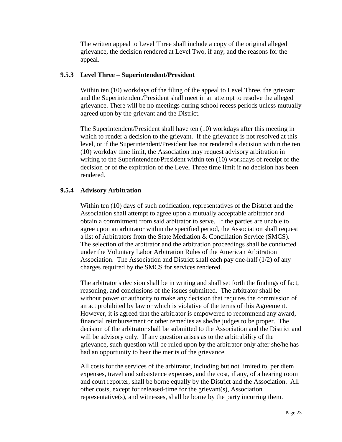The written appeal to Level Three shall include a copy of the original alleged grievance, the decision rendered at Level Two, if any, and the reasons for the appeal.

# **9.5.3 Level Three – Superintendent/President**

Within ten (10) workdays of the filing of the appeal to Level Three, the grievant and the Superintendent/President shall meet in an attempt to resolve the alleged grievance. There will be no meetings during school recess periods unless mutually agreed upon by the grievant and the District.

The Superintendent/President shall have ten (10) workdays after this meeting in which to render a decision to the grievant. If the grievance is not resolved at this level, or if the Superintendent/President has not rendered a decision within the ten (10) workday time limit, the Association may request advisory arbitration in writing to the Superintendent/President within ten (10) workdays of receipt of the decision or of the expiration of the Level Three time limit if no decision has been rendered.

# **9.5.4 Advisory Arbitration**

Within ten (10) days of such notification, representatives of the District and the Association shall attempt to agree upon a mutually acceptable arbitrator and obtain a commitment from said arbitrator to serve. If the parties are unable to agree upon an arbitrator within the specified period, the Association shall request a list of Arbitrators from the State Mediation & Conciliation Service (SMCS). The selection of the arbitrator and the arbitration proceedings shall be conducted under the Voluntary Labor Arbitration Rules of the American Arbitration Association. The Association and District shall each pay one-half (1/2) of any charges required by the SMCS for services rendered.

The arbitrator's decision shall be in writing and shall set forth the findings of fact, reasoning, and conclusions of the issues submitted. The arbitrator shall be without power or authority to make any decision that requires the commission of an act prohibited by law or which is violative of the terms of this Agreement. However, it is agreed that the arbitrator is empowered to recommend any award, financial reimbursement or other remedies as she/he judges to be proper. The decision of the arbitrator shall be submitted to the Association and the District and will be advisory only. If any question arises as to the arbitrability of the grievance, such question will be ruled upon by the arbitrator only after she/he has had an opportunity to hear the merits of the grievance.

All costs for the services of the arbitrator, including but not limited to, per diem expenses, travel and subsistence expenses, and the cost, if any, of a hearing room and court reporter, shall be borne equally by the District and the Association. All other costs, except for released-time for the grievant(s), Association representative(s), and witnesses, shall be borne by the party incurring them.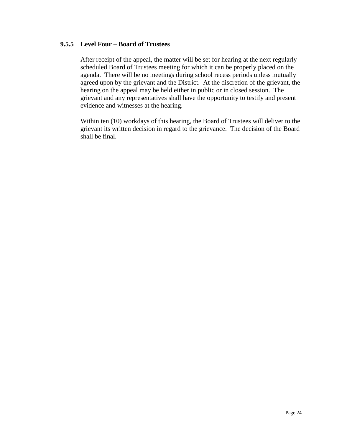#### **9.5.5 Level Four – Board of Trustees**

After receipt of the appeal, the matter will be set for hearing at the next regularly scheduled Board of Trustees meeting for which it can be properly placed on the agenda. There will be no meetings during school recess periods unless mutually agreed upon by the grievant and the District. At the discretion of the grievant, the hearing on the appeal may be held either in public or in closed session. The grievant and any representatives shall have the opportunity to testify and present evidence and witnesses at the hearing.

Within ten (10) workdays of this hearing, the Board of Trustees will deliver to the grievant its written decision in regard to the grievance. The decision of the Board shall be final.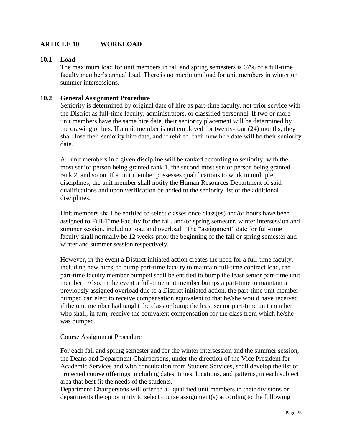# **ARTICLE 10 WORKLOAD**

#### **10.1 Load**

The maximum load for unit members in fall and spring semesters is 67% of a full-time faculty member's annual load. There is no maximum load for unit members in winter or summer intersessions.

#### **10.2 General Assignment Procedure**

Seniority is determined by original date of hire as part-time faculty, not prior service with the District as full-time faculty, administrators, or classified personnel. If two or more unit members have the same hire date, their seniority placement will be determined by the drawing of lots. If a unit member is not employed for twenty-four (24) months, they shall lose their seniority hire date, and if rehired, their new hire date will be their seniority date.

All unit members in a given discipline will be ranked according to seniority, with the most senior person being granted rank 1, the second most senior person being granted rank 2, and so on. If a unit member possesses qualifications to work in multiple disciplines, the unit member shall notify the Human Resources Department of said qualifications and upon verification be added to the seniority list of the additional disciplines.

Unit members shall be entitled to select classes once class(es) and/or hours have been assigned to Full-Time Faculty for the fall, and/or spring semester, winter intersession and summer session, including load and overload. The "assignment" date for full-time faculty shall normally be 12 weeks prior the beginning of the fall or spring semester and winter and summer session respectively.

However, in the event a District initiated action creates the need for a full-time faculty, including new hires, to bump part-time faculty to maintain full-time contract load, the part-time faculty member bumped shall be entitled to bump the least senior part-time unit member. Also, in the event a full-time unit member bumps a part-time to maintain a previously assigned overload due to a District initiated action, the part-time unit member bumped can elect to receive compensation equivalent to that he/she would have received if the unit member had taught the class or bump the least senior part-time unit member who shall, in turn, receive the equivalent compensation for the class from which he/she was bumped.

#### Course Assignment Procedure

For each fall and spring semester and for the winter intersession and the summer session, the Deans and Department Chairpersons, under the direction of the Vice President for Academic Services and with consultation from Student Services, shall develop the list of projected course offerings, including dates, times, locations, and patterns, in each subject area that best fit the needs of the students.

Department Chairpersons will offer to all qualified unit members in their divisions or departments the opportunity to select course assignment(s) according to the following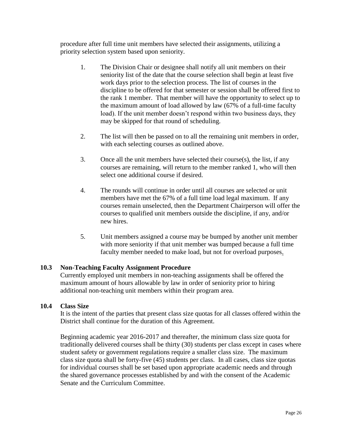procedure after full time unit members have selected their assignments, utilizing a priority selection system based upon seniority.

- 1. The Division Chair or designee shall notify all unit members on their seniority list of the date that the course selection shall begin at least five work days prior to the selection process. The list of courses in the discipline to be offered for that semester or session shall be offered first to the rank 1 member. That member will have the opportunity to select up to the maximum amount of load allowed by law (67% of a full-time faculty load). If the unit member doesn't respond within two business days, they may be skipped for that round of scheduling.
- 2. The list will then be passed on to all the remaining unit members in order, with each selecting courses as outlined above.
- 3. Once all the unit members have selected their course(s), the list, if any courses are remaining, will return to the member ranked 1, who will then select one additional course if desired.
- 4. The rounds will continue in order until all courses are selected or unit members have met the 67% of a full time load legal maximum. If any courses remain unselected, then the Department Chairperson will offer the courses to qualified unit members outside the discipline, if any, and/or new hires.
- 5. Unit members assigned a course may be bumped by another unit member with more seniority if that unit member was bumped because a full time faculty member needed to make load, but not for overload purposes.

# **10.3 Non-Teaching Faculty Assignment Procedure**

Currently employed unit members in non-teaching assignments shall be offered the maximum amount of hours allowable by law in order of seniority prior to hiring additional non-teaching unit members within their program area.

#### **10.4 Class Size**

It is the intent of the parties that present class size quotas for all classes offered within the District shall continue for the duration of this Agreement.

Beginning academic year 2016-2017 and thereafter, the minimum class size quota for traditionally delivered courses shall be thirty (30) students per class except in cases where student safety or government regulations require a smaller class size. The maximum class size quota shall be forty-five (45) students per class. In all cases, class size quotas for individual courses shall be set based upon appropriate academic needs and through the shared governance processes established by and with the consent of the Academic Senate and the Curriculum Committee.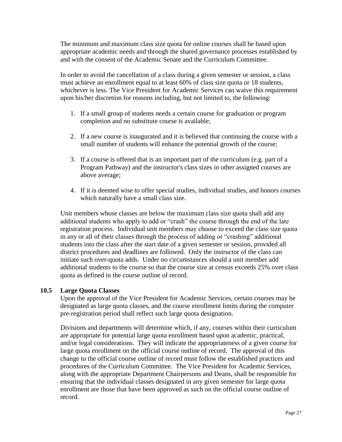The minimum and maximum class size quota for online courses shall be based upon appropriate academic needs and through the shared governance processes established by and with the consent of the Academic Senate and the Curriculum Committee.

In order to avoid the cancellation of a class during a given semester or session, a class must achieve an enrollment equal to at least 60% of class size quota or 18 students, whichever is less. The Vice President for Academic Services can waive this requirement upon his/her discretion for reasons including, but not limited to, the following:

- 1. If a small group of students needs a certain course for graduation or program completion and no substitute course is available;
- 2. If a new course is inaugurated and it is believed that continuing the course with a small number of students will enhance the potential growth of the course;
- 3. If a course is offered that is an important part of the curriculum (e.g. part of a Program Pathway) and the instructor's class sizes in other assigned courses are above average;
- 4. If it is deemed wise to offer special studies, individual studies, and honors courses which naturally have a small class size.

Unit members whose classes are below the maximum class size quota shall add any additional students who apply to add or "crash" the course through the end of the late registration process. Individual unit members may choose to exceed the class size quota in any or all of their classes through the process of adding or "crashing" additional students into the class after the start date of a given semester or session, provided all district procedures and deadlines are followed. Only the instructor of the class can initiate such over-quota adds. Under no circumstances should a unit member add additional students to the course so that the course size at census exceeds 25% over class quota as defined in the course outline of record.

#### **10.5 Large Quota Classes**

Upon the approval of the Vice President for Academic Services, certain courses may be designated as large quota classes, and the course enrollment limits during the computer pre-registration period shall reflect such large quota designation.

Divisions and departments will determine which, if any, courses within their curriculum are appropriate for potential large quota enrollment based upon academic, practical, and/or legal considerations. They will indicate the appropriateness of a given course for large quota enrollment on the official course outline of record. The approval of this change to the official course outline of record must follow the established practices and procedures of the Curriculum Committee. The Vice President for Academic Services, along with the appropriate Department Chairpersons and Deans, shall be responsible for ensuring that the individual classes designated in any given semester for large quota enrollment are those that have been approved as such on the official course outline of record.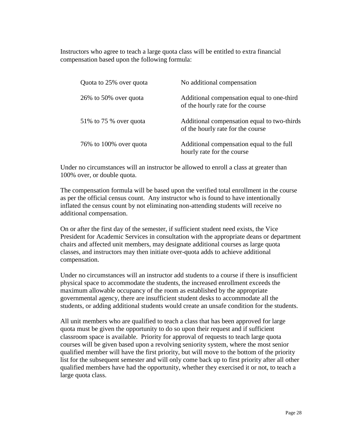Instructors who agree to teach a large quota class will be entitled to extra financial compensation based upon the following formula:

| Quota to 25% over quota  | No additional compensation                                                       |
|--------------------------|----------------------------------------------------------------------------------|
| 26\% to 50\% over quota  | Additional compensation equal to one-third<br>of the hourly rate for the course  |
| 51\% to 75 \% over quota | Additional compensation equal to two-thirds<br>of the hourly rate for the course |
| 76% to 100% over quota   | Additional compensation equal to the full<br>hourly rate for the course          |

Under no circumstances will an instructor be allowed to enroll a class at greater than 100% over, or double quota.

The compensation formula will be based upon the verified total enrollment in the course as per the official census count. Any instructor who is found to have intentionally inflated the census count by not eliminating non-attending students will receive no additional compensation.

On or after the first day of the semester, if sufficient student need exists, the Vice President for Academic Services in consultation with the appropriate deans or department chairs and affected unit members, may designate additional courses as large quota classes, and instructors may then initiate over-quota adds to achieve additional compensation.

Under no circumstances will an instructor add students to a course if there is insufficient physical space to accommodate the students, the increased enrollment exceeds the maximum allowable occupancy of the room as established by the appropriate governmental agency, there are insufficient student desks to accommodate all the students, or adding additional students would create an unsafe condition for the students.

All unit members who are qualified to teach a class that has been approved for large quota must be given the opportunity to do so upon their request and if sufficient classroom space is available. Priority for approval of requests to teach large quota courses will be given based upon a revolving seniority system, where the most senior qualified member will have the first priority, but will move to the bottom of the priority list for the subsequent semester and will only come back up to first priority after all other qualified members have had the opportunity, whether they exercised it or not, to teach a large quota class.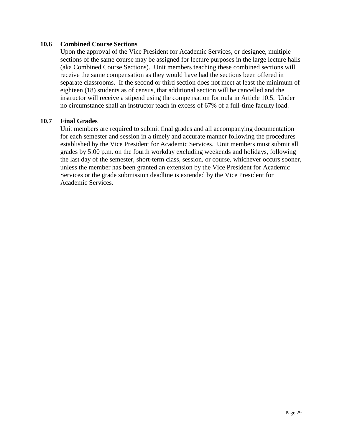#### **10.6 Combined Course Sections**

Upon the approval of the Vice President for Academic Services, or designee, multiple sections of the same course may be assigned for lecture purposes in the large lecture halls (aka Combined Course Sections). Unit members teaching these combined sections will receive the same compensation as they would have had the sections been offered in separate classrooms. If the second or third section does not meet at least the minimum of eighteen (18) students as of census, that additional section will be cancelled and the instructor will receive a stipend using the compensation formula in Article 10.5. Under no circumstance shall an instructor teach in excess of 67% of a full-time faculty load.

#### **10.7 Final Grades**

Unit members are required to submit final grades and all accompanying documentation for each semester and session in a timely and accurate manner following the procedures established by the Vice President for Academic Services. Unit members must submit all grades by 5:00 p.m. on the fourth workday excluding weekends and holidays, following the last day of the semester, short-term class, session, or course, whichever occurs sooner, unless the member has been granted an extension by the Vice President for Academic Services or the grade submission deadline is extended by the Vice President for Academic Services.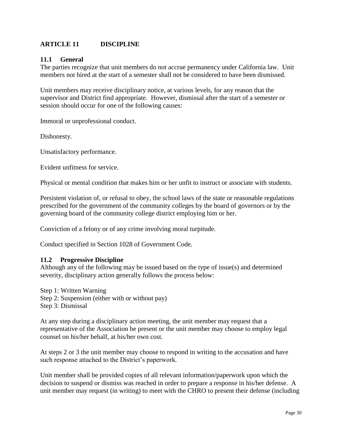# **ARTICLE 11 DISCIPLINE**

#### **11.1 General**

The parties recognize that unit members do not accrue permanency under California law. Unit members not hired at the start of a semester shall not be considered to have been dismissed.

Unit members may receive disciplinary notice, at various levels, for any reason that the supervisor and District find appropriate. However, dismissal after the start of a semester or session should occur for one of the following causes:

Immoral or unprofessional conduct.

Dishonesty.

Unsatisfactory performance.

Evident unfitness for service.

Physical or mental condition that makes him or her unfit to instruct or associate with students.

Persistent violation of, or refusal to obey, the school laws of the state or reasonable regulations prescribed for the government of the community colleges by the board of governors or by the governing board of the community college district employing him or her.

Conviction of a felony or of any crime involving moral turpitude.

Conduct specified in Section 1028 of Government Code.

#### **11.2 Progressive Discipline**

Although any of the following may be issued based on the type of issue(s) and determined severity, disciplinary action generally follows the process below:

Step 1: Written Warning Step 2: Suspension (either with or without pay) Step 3: Dismissal

At any step during a disciplinary action meeting, the unit member may request that a representative of the Association be present or the unit member may choose to employ legal counsel on his/her behalf, at his/her own cost.

At steps 2 or 3 the unit member may choose to respond in writing to the accusation and have such response attached to the District's paperwork.

Unit member shall be provided copies of all relevant information/paperwork upon which the decision to suspend or dismiss was reached in order to prepare a response in his/her defense. A unit member may request (in writing) to meet with the CHRO to present their defense (including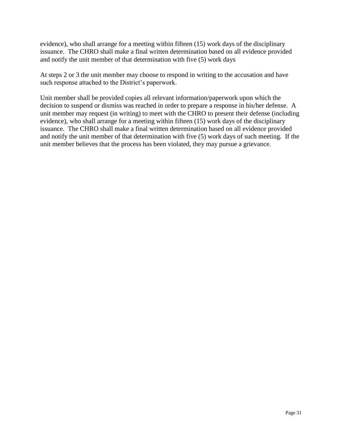evidence), who shall arrange for a meeting within fifteen (15) work days of the disciplinary issuance. The CHRO shall make a final written determination based on all evidence provided and notify the unit member of that determination with five (5) work days

At steps 2 or 3 the unit member may choose to respond in writing to the accusation and have such response attached to the District's paperwork.

Unit member shall be provided copies all relevant information/paperwork upon which the decision to suspend or dismiss was reached in order to prepare a response in his/her defense. A unit member may request (in writing) to meet with the CHRO to present their defense (including evidence), who shall arrange for a meeting within fifteen (15) work days of the disciplinary issuance. The CHRO shall make a final written determination based on all evidence provided and notify the unit member of that determination with five (5) work days of such meeting. If the unit member believes that the process has been violated, they may pursue a grievance.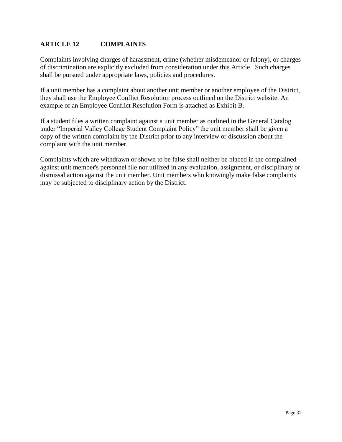# **ARTICLE 12 COMPLAINTS**

Complaints involving charges of harassment, crime (whether misdemeanor or felony), or charges of discrimination are explicitly excluded from consideration under this Article. Such charges shall be pursued under appropriate laws, policies and procedures.

If a unit member has a complaint about another unit member or another employee of the District, they shall use the Employee Conflict Resolution process outlined on the District website. An example of an Employee Conflict Resolution Form is attached as Exhibit B.

If a student files a written complaint against a unit member as outlined in the General Catalog under "Imperial Valley College Student Complaint Policy" the unit member shall be given a copy of the written complaint by the District prior to any interview or discussion about the complaint with the unit member.

Complaints which are withdrawn or shown to be false shall neither be placed in the complainedagainst unit member's personnel file nor utilized in any evaluation, assignment, or disciplinary or dismissal action against the unit member. Unit members who knowingly make false complaints may be subjected to disciplinary action by the District.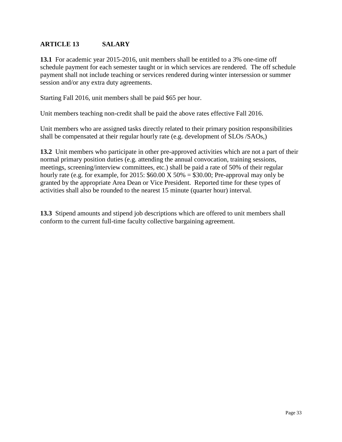# **ARTICLE 13 SALARY**

**13.1** For academic year 2015-2016, unit members shall be entitled to a 3% one-time off schedule payment for each semester taught or in which services are rendered. The off schedule payment shall not include teaching or services rendered during winter intersession or summer session and/or any extra duty agreements.

Starting Fall 2016, unit members shall be paid \$65 per hour.

Unit members teaching non-credit shall be paid the above rates effective Fall 2016.

Unit members who are assigned tasks directly related to their primary position responsibilities shall be compensated at their regular hourly rate (e.g. development of SLOs /SAOs,)

**13.2** Unit members who participate in other pre-approved activities which are not a part of their normal primary position duties (e.g. attending the annual convocation, training sessions, meetings, screening/interview committees, etc.) shall be paid a rate of 50% of their regular hourly rate (e.g. for example, for 2015:  $$60.00 \text{ X} 50\% = $30.00$ ; Pre-approval may only be granted by the appropriate Area Dean or Vice President. Reported time for these types of activities shall also be rounded to the nearest 15 minute (quarter hour) interval.

**13.3** Stipend amounts and stipend job descriptions which are offered to unit members shall conform to the current full-time faculty collective bargaining agreement.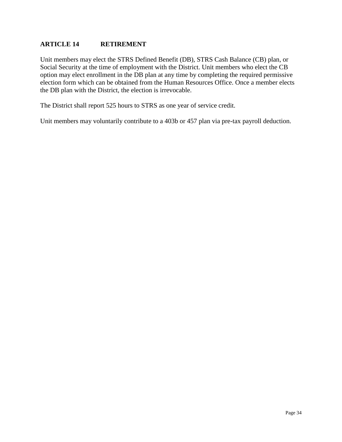# **ARTICLE 14 RETIREMENT**

Unit members may elect the STRS Defined Benefit (DB), STRS Cash Balance (CB) plan, or Social Security at the time of employment with the District. Unit members who elect the CB option may elect enrollment in the DB plan at any time by completing the required permissive election form which can be obtained from the Human Resources Office. Once a member elects the DB plan with the District, the election is irrevocable.

The District shall report 525 hours to STRS as one year of service credit.

Unit members may voluntarily contribute to a 403b or 457 plan via pre-tax payroll deduction.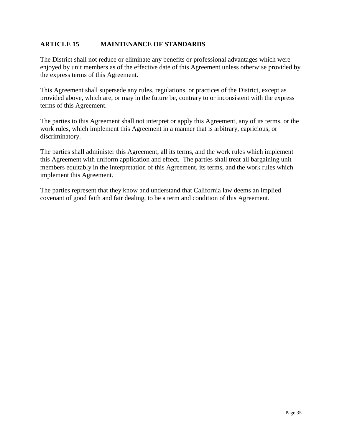# **ARTICLE 15 MAINTENANCE OF STANDARDS**

The District shall not reduce or eliminate any benefits or professional advantages which were enjoyed by unit members as of the effective date of this Agreement unless otherwise provided by the express terms of this Agreement.

This Agreement shall supersede any rules, regulations, or practices of the District, except as provided above, which are, or may in the future be, contrary to or inconsistent with the express terms of this Agreement.

The parties to this Agreement shall not interpret or apply this Agreement, any of its terms, or the work rules, which implement this Agreement in a manner that is arbitrary, capricious, or discriminatory.

The parties shall administer this Agreement, all its terms, and the work rules which implement this Agreement with uniform application and effect. The parties shall treat all bargaining unit members equitably in the interpretation of this Agreement, its terms, and the work rules which implement this Agreement.

The parties represent that they know and understand that California law deems an implied covenant of good faith and fair dealing, to be a term and condition of this Agreement.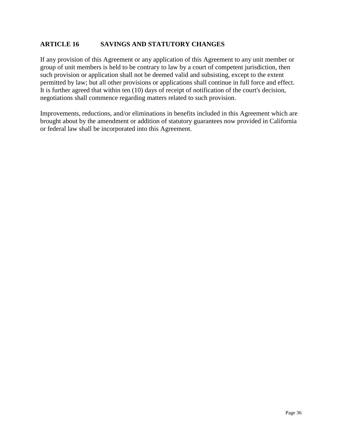# **ARTICLE 16 SAVINGS AND STATUTORY CHANGES**

If any provision of this Agreement or any application of this Agreement to any unit member or group of unit members is held to be contrary to law by a court of competent jurisdiction, then such provision or application shall not be deemed valid and subsisting, except to the extent permitted by law; but all other provisions or applications shall continue in full force and effect. It is further agreed that within ten (10) days of receipt of notification of the court's decision, negotiations shall commence regarding matters related to such provision.

Improvements, reductions, and/or eliminations in benefits included in this Agreement which are brought about by the amendment or addition of statutory guarantees now provided in California or federal law shall be incorporated into this Agreement.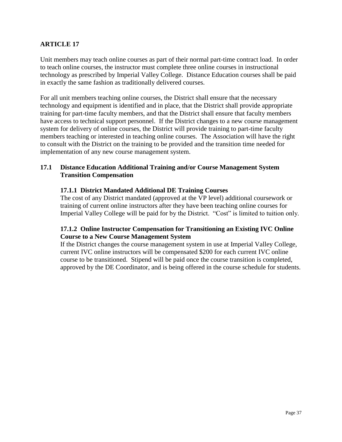# **ARTICLE 17**

Unit members may teach online courses as part of their normal part-time contract load. In order to teach online courses, the instructor must complete three online courses in instructional technology as prescribed by Imperial Valley College. Distance Education courses shall be paid in exactly the same fashion as traditionally delivered courses.

For all unit members teaching online courses, the District shall ensure that the necessary technology and equipment is identified and in place, that the District shall provide appropriate training for part-time faculty members, and that the District shall ensure that faculty members have access to technical support personnel. If the District changes to a new course management system for delivery of online courses, the District will provide training to part-time faculty members teaching or interested in teaching online courses. The Association will have the right to consult with the District on the training to be provided and the transition time needed for implementation of any new course management system.

# **17.1 Distance Education Additional Training and/or Course Management System Transition Compensation**

#### **17.1.1 District Mandated Additional DE Training Courses**

The cost of any District mandated (approved at the VP level) additional coursework or training of current online instructors after they have been teaching online courses for Imperial Valley College will be paid for by the District. "Cost" is limited to tuition only.

# **17.1.2 Online Instructor Compensation for Transitioning an Existing IVC Online Course to a New Course Management System**

If the District changes the course management system in use at Imperial Valley College, current IVC online instructors will be compensated \$200 for each current IVC online course to be transitioned. Stipend will be paid once the course transition is completed, approved by the DE Coordinator, and is being offered in the course schedule for students.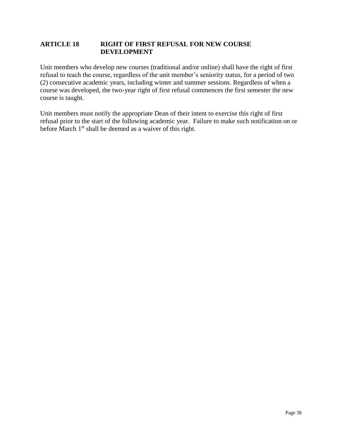# **ARTICLE 18 RIGHT OF FIRST REFUSAL FOR NEW COURSE DEVELOPMENT**

Unit members who develop new courses (traditional and/or online) shall have the right of first refusal to teach the course, regardless of the unit member's seniority status, for a period of two (2) consecutive academic years, including winter and summer sessions. Regardless of when a course was developed, the two-year right of first refusal commences the first semester the new course is taught.

Unit members must notify the appropriate Dean of their intent to exercise this right of first refusal prior to the start of the following academic year. Failure to make such notification on or before March  $1<sup>st</sup>$  shall be deemed as a waiver of this right.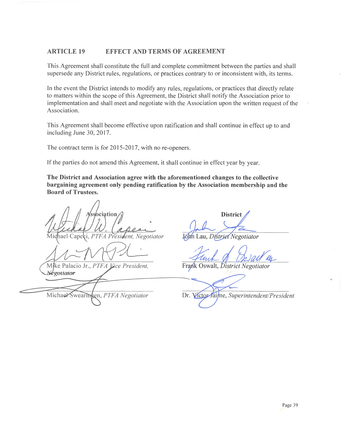#### **ARTICLE 19 EFFECT AND TERMS OF AGREEMENT**

This Agreement shall constitute the full and complete commitment between the parties and shall supersede any District rules, regulations, or practices contrary to or inconsistent with, its terms.

In the event the District intends to modify any rules, regulations, or practices that directly relate to matters within the scope of this Agreement, the District shall notify the Association prior to implementation and shall meet and negotiate with the Association upon the written request of the Association.

This Agreement shall become effective upon ratification and shall continue in effect up to and including June 30, 2017.

The contract term is for 2015-2017, with no re-openers.

If the parties do not amend this Agreement, it shall continue in effect year by year.

The District and Association agree with the aforementioned changes to the collective bargaining agreement only pending ratification by the Association membership and the **Board of Trustees.** 

bciation

PTFA President, Negotiator Michael Capeci,

Mike Palacio Jr., PTFA Vice President, Negotiator

Michael Swearingen, PTFA Negotiator

**District** 

John Lau, Distriet Negotiator

Frank Oswalt, District Negotiator

Dr. Victor Jaime, Superintendent/President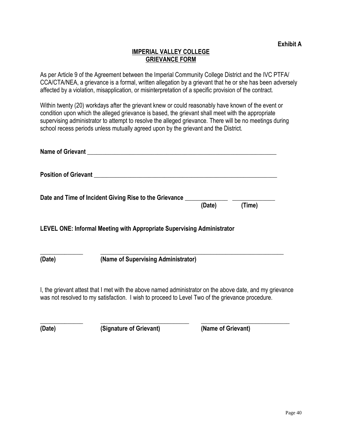# **IMPERIAL VALLEY COLLEGE GRIEVANCE FORM**

As per Article 9 of the Agreement between the Imperial Community College District and the IVC PTFA/ CCA/CTA/NEA, a grievance is a formal, written allegation by a grievant that he or she has been adversely affected by a violation, misapplication, or misinterpretation of a specific provision of the contract.

Within twenty (20) workdays after the grievant knew or could reasonably have known of the event or condition upon which the alleged grievance is based, the grievant shall meet with the appropriate supervising administrator to attempt to resolve the alleged grievance. There will be no meetings during school recess periods unless mutually agreed upon by the grievant and the District.

|        | Name of Grievant Name of Grievant                                                                                                                                                                           |        |        |
|--------|-------------------------------------------------------------------------------------------------------------------------------------------------------------------------------------------------------------|--------|--------|
|        |                                                                                                                                                                                                             |        |        |
|        | Date and Time of Incident Giving Rise to the Grievance _________________________                                                                                                                            | (Date) | (Time) |
|        | LEVEL ONE: Informal Meeting with Appropriate Supervising Administrator                                                                                                                                      |        |        |
| (Date) | (Name of Supervising Administrator)                                                                                                                                                                         |        |        |
|        | I, the grievant attest that I met with the above named administrator on the above date, and my grievance<br>was not resolved to my satisfaction. I wish to proceed to Level Two of the grievance procedure. |        |        |

**\_\_\_\_\_\_\_\_\_\_\_\_\_\_ \_\_\_\_\_\_\_\_\_\_\_\_\_\_\_\_\_\_\_\_\_\_\_\_\_\_\_\_\_ \_\_\_\_\_\_\_\_\_\_\_\_\_\_\_\_\_\_\_\_\_\_\_\_\_\_\_\_\_**

**(Date) (Signature of Grievant) (Name of Grievant)**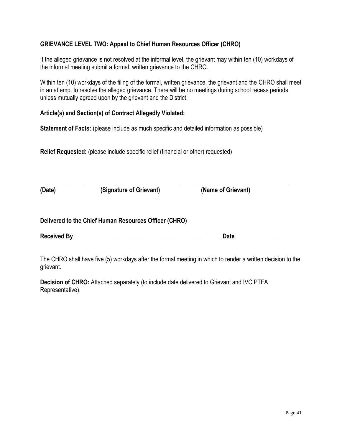# **GRIEVANCE LEVEL TWO: Appeal to Chief Human Resources Officer (CHRO)**

If the alleged grievance is not resolved at the informal level, the grievant may within ten (10) workdays of the informal meeting submit a formal, written grievance to the CHRO.

Within ten (10) workdays of the filing of the formal, written grievance, the grievant and the CHRO shall meet in an attempt to resolve the alleged grievance. There will be no meetings during school recess periods unless mutually agreed upon by the grievant and the District.

# **Article(s) and Section(s) of Contract Allegedly Violated:**

**Statement of Facts:** (please include as much specific and detailed information as possible)

**Relief Requested:** (please include specific relief (financial or other) requested)

| (Date)             | (Signature of Grievant)                               | (Name of Grievant) |  |
|--------------------|-------------------------------------------------------|--------------------|--|
|                    | Delivered to the Chief Human Resources Officer (CHRO) |                    |  |
| <b>Received By</b> |                                                       | Date               |  |

The CHRO shall have five (5) workdays after the formal meeting in which to render a written decision to the grievant.

**Decision of CHRO:** Attached separately (to include date delivered to Grievant and IVC PTFA Representative).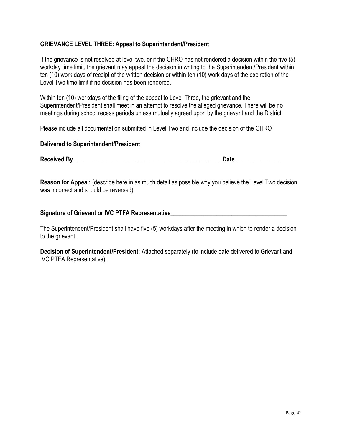# **GRIEVANCE LEVEL THREE: Appeal to Superintendent/President**

If the grievance is not resolved at level two, or if the CHRO has not rendered a decision within the five (5) workday time limit, the grievant may appeal the decision in writing to the Superintendent/President within ten (10) work days of receipt of the written decision or within ten (10) work days of the expiration of the Level Two time limit if no decision has been rendered.

Within ten (10) workdays of the filing of the appeal to Level Three, the grievant and the Superintendent/President shall meet in an attempt to resolve the alleged grievance. There will be no meetings during school recess periods unless mutually agreed upon by the grievant and the District.

Please include all documentation submitted in Level Two and include the decision of the CHRO

#### **Delivered to Superintendent/President**

**Received By** \_\_\_\_\_\_\_\_\_\_\_\_\_\_\_\_\_\_\_\_\_\_\_\_\_\_\_\_\_\_\_\_\_\_\_\_\_\_\_\_\_\_\_\_\_\_\_\_ **Date** \_\_\_\_\_\_\_\_\_\_\_\_\_\_

**Reason for Appeal:** (describe here in as much detail as possible why you believe the Level Two decision was incorrect and should be reversed)

# Signature of Grievant or IVC PTFA Representative

The Superintendent/President shall have five (5) workdays after the meeting in which to render a decision to the grievant.

**Decision of Superintendent/President:** Attached separately (to include date delivered to Grievant and IVC PTFA Representative).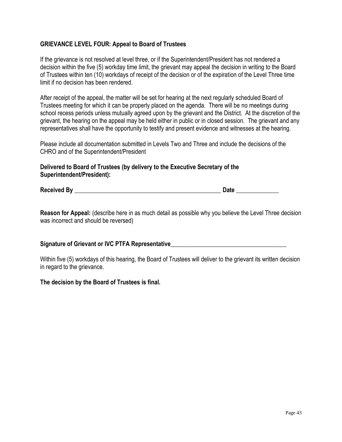# **GRIEVANCE LEVEL FOUR: Appeal to Board of Trustees**

If the grievance is not resolved at level three, or if the Superintendent/President has not rendered a decision within the five (5) workday time limit, the grievant may appeal the decision in writing to the Board of Trustees within ten (10) workdays of receipt of the decision or of the expiration of the Level Three time limit if no decision has been rendered.

After receipt of the appeal, the matter will be set for hearing at the next regularly scheduled Board of Trustees meeting for which it can be properly placed on the agenda. There will be no meetings during school recess periods unless mutually agreed upon by the grievant and the District. At the discretion of the grievant, the hearing on the appeal may be held either in public or in closed session. The grievant and any representatives shall have the opportunity to testify and present evidence and witnesses at the hearing.

Please include all documentation submitted in Levels Two and Three and include the decisions of the CHRO and of the Superintendent/President

**Delivered to Board of Trustees (by delivery to the Executive Secretary of the Superintendent/President):**

Received By **Exercise By Date Date Date Date Date Date Date Date Date Date Date Date Date Date Date D** 

**Reason for Appeal:** (describe here in as much detail as possible why you believe the Level Three decision was incorrect and should be reversed)

#### **Signature of Grievant or IVC PTFA Representative**

Within five (5) workdays of this hearing, the Board of Trustees will deliver to the grievant its written decision in regard to the grievance.

#### **The decision by the Board of Trustees is final.**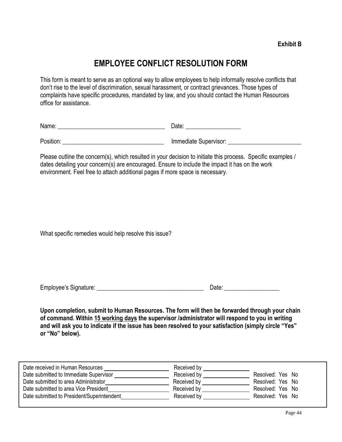# **EMPLOYEE CONFLICT RESOLUTION FORM**

This form is meant to serve as an optional way to allow employees to help informally resolve conflicts that don't rise to the level of discrimination, sexual harassment, or contract grievances. Those types of complaints have specific procedures, mandated by law, and you should contact the Human Resources office for assistance.

| . .<br>Name:<br>. | $5 - 1 -$<br>$\sim$ |
|-------------------|---------------------|
|                   |                     |

Position: example are the supervisor of the line of the supervisor:  $\blacksquare$ 

Please outline the concern(s), which resulted in your decision to initiate this process. Specific examples / dates detailing your concern(s) are encouraged. Ensure to include the impact it has on the work environment. Feel free to attach additional pages if more space is necessary.

What specific remedies would help resolve this issue?

| Employee's Signature: | Jate |
|-----------------------|------|
|                       |      |

**Upon completion, submit to Human Resources. The form will then be forwarded through your chain of command. Within 15 working days the supervisor /administrator will respond to you in writing and will ask you to indicate if the issue has been resolved to your satisfaction (simply circle "Yes" or "No" below).** 

| Date received in Human Resources           | Received by                               |                  |
|--------------------------------------------|-------------------------------------------|------------------|
| Date submitted to Immediate Supervisor     | Received by<br>$\mathbf{w} = \frac{1}{2}$ | Resolved: Yes No |
| Date submitted to area Administrator       | Received by                               | Resolved: Yes No |
| Date submitted to area Vice President      | Received by                               | Resolved: Yes No |
| Date submitted to President/Superintendent | Received by                               | Resolved: Yes No |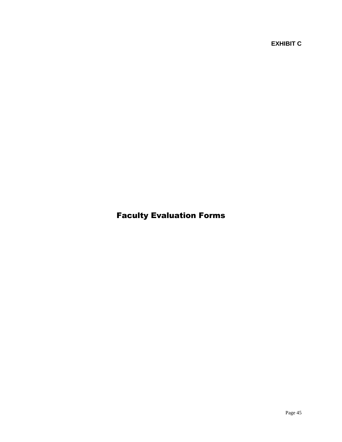**EXHIBIT C**

# Faculty Evaluation Forms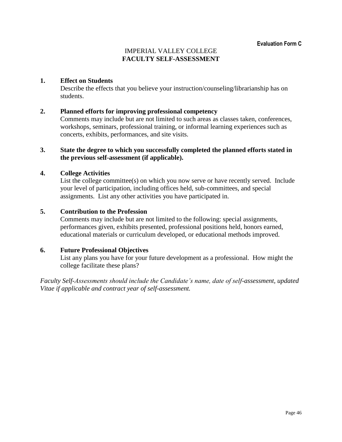# IMPERIAL VALLEY COLLEGE **FACULTY SELF-ASSESSMENT**

#### **1. Effect on Students**

Describe the effects that you believe your instruction/counseling/librarianship has on students.

#### **2. Planned efforts for improving professional competency**

Comments may include but are not limited to such areas as classes taken, conferences, workshops, seminars, professional training, or informal learning experiences such as concerts, exhibits, performances, and site visits.

#### **3. State the degree to which you successfully completed the planned efforts stated in the previous self-assessment (if applicable).**

#### **4. College Activities**

List the college committee(s) on which you now serve or have recently served. Include your level of participation, including offices held, sub-committees, and special assignments. List any other activities you have participated in.

#### **5. Contribution to the Profession**

Comments may include but are not limited to the following: special assignments, performances given, exhibits presented, professional positions held, honors earned, educational materials or curriculum developed, or educational methods improved.

#### **6. Future Professional Objectives**

List any plans you have for your future development as a professional. How might the college facilitate these plans?

*Faculty Self-Assessments should include the Candidate's name, date of self-assessment, updated Vitae if applicable and contract year of self-assessment.*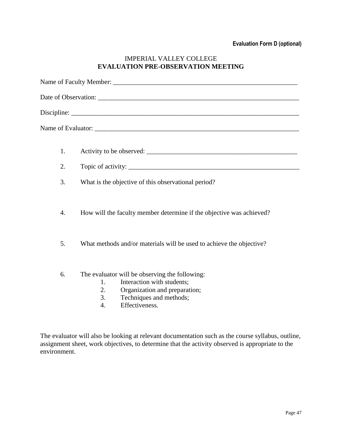# IMPERIAL VALLEY COLLEGE **EVALUATION PRE-OBSERVATION MEETING**

|                  | Date of Observation: University of the same state of the same state of the same state of the same state of the same state of the same state of the same state of the same state of the same state of the same state of the sam |  |  |  |
|------------------|--------------------------------------------------------------------------------------------------------------------------------------------------------------------------------------------------------------------------------|--|--|--|
|                  |                                                                                                                                                                                                                                |  |  |  |
|                  |                                                                                                                                                                                                                                |  |  |  |
| 1.               |                                                                                                                                                                                                                                |  |  |  |
| 2.               |                                                                                                                                                                                                                                |  |  |  |
| 3.               | What is the objective of this observational period?                                                                                                                                                                            |  |  |  |
| $\overline{4}$ . | How will the faculty member determine if the objective was achieved?                                                                                                                                                           |  |  |  |
| 5.               | What methods and/or materials will be used to achieve the objective?                                                                                                                                                           |  |  |  |
| 6.               | The evaluator will be observing the following:<br>Interaction with students;<br>1.<br>2.<br>Organization and preparation;<br>3.<br>Techniques and methods;<br>Effectiveness.<br>4.                                             |  |  |  |

The evaluator will also be looking at relevant documentation such as the course syllabus, outline, assignment sheet, work objectives, to determine that the activity observed is appropriate to the environment.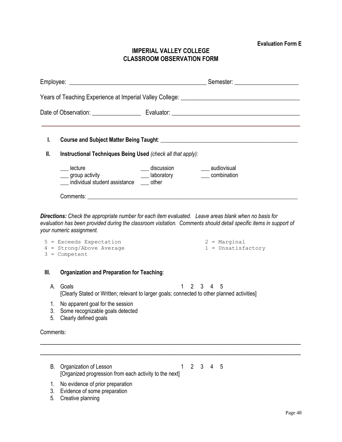**Evaluation Form E**

# **IMPERIAL VALLEY COLLEGE CLASSROOM OBSERVATION FORM**

|                |                                                                                                                                                           |   | Years of Teaching Experience at Imperial Valley College: ________________________ |
|----------------|-----------------------------------------------------------------------------------------------------------------------------------------------------------|---|-----------------------------------------------------------------------------------|
|                |                                                                                                                                                           |   |                                                                                   |
|                |                                                                                                                                                           |   |                                                                                   |
| I.             |                                                                                                                                                           |   |                                                                                   |
| Ш.             | Instructional Techniques Being Used (check all that apply):                                                                                               |   |                                                                                   |
|                | lecture<br>group activity and the settlement of the settlement of the settlement of the settlement of the settl<br>individual student assistance __ other |   | ___ discussion ___ audiovisual<br>combination                                     |
|                |                                                                                                                                                           |   |                                                                                   |
|                | your numeric assignment.<br>$5$ = Exceeds Expectation<br>$4 =$ Strong/Above Average<br>$3 =$ Competent                                                    |   | $2 = Marginal$<br>$1 = Unsatisfactory$                                            |
| Ⅲ.             | <b>Organization and Preparation for Teaching:</b>                                                                                                         |   |                                                                                   |
| А.             | Goals<br>[Clearly Stated or Written; relevant to larger goals; connected to other planned activities]                                                     |   | 2 3 4 5                                                                           |
| 1.<br>3.<br>5. | No apparent goal for the session<br>Some recognizable goals detected<br>Clearly defined goals                                                             |   |                                                                                   |
| Comments:      |                                                                                                                                                           |   |                                                                                   |
|                |                                                                                                                                                           |   |                                                                                   |
| В.             | Organization of Lesson<br>[Organized progression from each activity to the next]                                                                          | 1 | $2^{\circ}$<br>$\mathbf{3}$<br>4<br>5                                             |
| 1.             | No evidence of prior preparation                                                                                                                          |   |                                                                                   |

- 3. Evidence of some preparation
- 5. Creative planning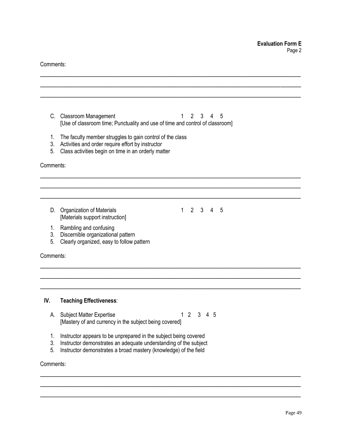Comments:

| C.        | <b>Classroom Management</b><br>$\overline{2}$<br>3<br>4<br>5<br>1                                                                 |
|-----------|-----------------------------------------------------------------------------------------------------------------------------------|
|           | [Use of classroom time; Punctuality and use of time and control of classroom]                                                     |
| 1.        | The faculty member struggles to gain control of the class                                                                         |
| 3.<br>5.  | Activities and order require effort by instructor<br>Class activities begin on time in an orderly matter                          |
|           |                                                                                                                                   |
| Comments: |                                                                                                                                   |
|           |                                                                                                                                   |
|           |                                                                                                                                   |
|           |                                                                                                                                   |
| D.        | $\overline{2}$<br>3<br><b>Organization of Materials</b><br>$\mathbf{1}$<br>$\overline{4}$<br>5<br>[Materials support instruction] |
| 1.        | Rambling and confusing                                                                                                            |
| 3.        | Discernible organizational pattern                                                                                                |
| 5.        | Clearly organized, easy to follow pattern                                                                                         |
| Comments: |                                                                                                                                   |
|           |                                                                                                                                   |
| IV.       | <b>Teaching Effectiveness:</b>                                                                                                    |
| А.        | $\overline{2}$<br>3 4 5<br><b>Subject Matter Expertise</b><br>1.                                                                  |
|           | [Mastery of and currency in the subject being covered]                                                                            |
| 1.        | Instructor appears to be unprepared in the subject being covered                                                                  |
| 3.        | Instructor demonstrates an adequate understanding of the subject                                                                  |
| 5.        | Instructor demonstrates a broad mastery (knowledge) of the field                                                                  |
| Comments: |                                                                                                                                   |
|           |                                                                                                                                   |
|           |                                                                                                                                   |

\_\_\_\_\_\_\_\_\_\_\_\_\_\_\_\_\_\_\_\_\_\_\_\_\_\_\_\_\_\_\_\_\_\_\_\_\_\_\_\_\_\_\_\_\_\_\_\_\_\_\_\_\_\_\_\_\_\_\_\_\_\_\_\_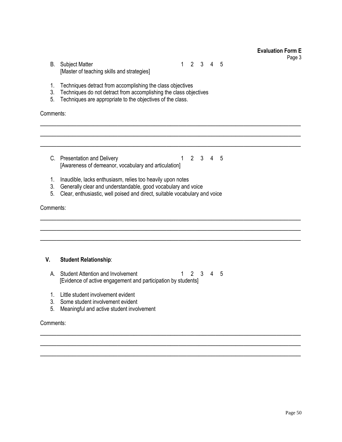Page 3

B. Subject Matter 1 2 3 4 5 [Master of teaching skills and strategies]

- 1. Techniques detract from accomplishing the class objectives
- 3. Techniques do not detract from accomplishing the class objectives
- 5. Techniques are appropriate to the objectives of the class.

Comments:

C. Presentation and Delivery 1 2 3 4 5 [Awareness of demeanor, vocabulary and articulation]

 $\overline{\phantom{a}}$  , and the contribution of the contribution of the contribution of the contribution of the contribution of the contribution of the contribution of the contribution of the contribution of the contribution of the  $\overline{\phantom{a}}$  , and the contribution of the contribution of the contribution of the contribution of the contribution of the contribution of the contribution of the contribution of the contribution of the contribution of the  $\overline{\phantom{a}}$  , and the contribution of the contribution of the contribution of the contribution of the contribution of the contribution of the contribution of the contribution of the contribution of the contribution of the

 $\overline{\phantom{a}}$  , and the contribution of the contribution of the contribution of the contribution of the contribution of the contribution of the contribution of the contribution of the contribution of the contribution of the  $\overline{\phantom{a}}$  , and the contribution of the contribution of the contribution of the contribution of the contribution of the contribution of the contribution of the contribution of the contribution of the contribution of the  $\overline{\phantom{a}}$  , and the contribution of the contribution of the contribution of the contribution of the contribution of the contribution of the contribution of the contribution of the contribution of the contribution of the

 $\overline{\phantom{a}}$  , and the contribution of the contribution of the contribution of the contribution of the contribution of the contribution of the contribution of the contribution of the contribution of the contribution of the  $\overline{\phantom{a}}$  , and the contribution of the contribution of the contribution of the contribution of the contribution of the contribution of the contribution of the contribution of the contribution of the contribution of the  $\overline{\phantom{a}}$  , and the contribution of the contribution of the contribution of the contribution of the contribution of the contribution of the contribution of the contribution of the contribution of the contribution of the

- 1. Inaudible, lacks enthusiasm, relies too heavily upon notes
- 3. Generally clear and understandable, good vocabulary and voice
- 5. Clear, enthusiastic, well poised and direct, suitable vocabulary and voice

#### Comments:

#### **V. Student Relationship**:

- A. Student Attention and Involvement 1 2 3 4 5 [Evidence of active engagement and participation by students]
- 1. Little student involvement evident
- 3. Some student involvement evident
- 5. Meaningful and active student involvement

#### Comments: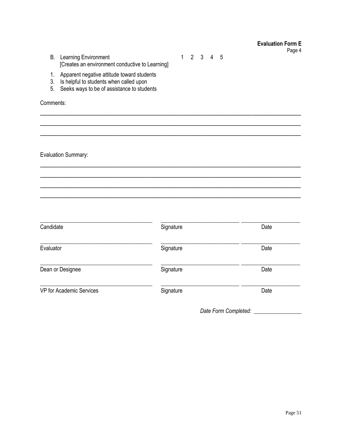| <b>B.</b> Learning Environment                  |
|-------------------------------------------------|
| [Creates an environment conductive to Learning] |

- 1. Apparent negative attitude toward students<br>3. Is helpful to students when called upon
- 
- 5. Seeks ways to be of assistance to students

Comments:

**Evaluation Summary:** 

| Candidate                | Signature | Date |
|--------------------------|-----------|------|
| Evaluator                | Signature | Date |
| Dean or Designee         | Signature | Date |
| VP for Academic Services | Signature | Date |

 $1 2 3 4 5$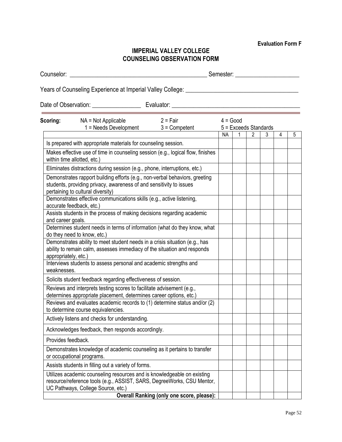**Evaluation Form F**

# **IMPERIAL VALLEY COLLEGE COUNSELING OBSERVATION FORM**

Counselor: \_\_\_\_\_\_\_\_\_\_\_\_\_\_\_\_\_\_\_\_\_\_\_\_\_\_\_\_\_\_\_\_\_\_\_\_\_\_\_\_\_\_\_\_\_ Semester: \_\_\_\_\_\_\_\_\_\_\_\_\_\_\_\_\_\_\_\_\_

Years of Counseling Experience at Imperial Valley College:

Date of Observation: \_\_\_\_\_\_\_\_\_\_\_\_\_\_\_\_ Evaluator: \_\_\_\_\_\_\_\_\_\_\_\_\_\_\_\_\_\_\_\_\_\_\_\_\_\_\_\_\_\_\_\_\_\_\_\_\_\_\_\_\_\_ **Scoring:** NA = Not Applicable 2 = Fair 4 = Good 1 = Needs Development 3 = Competent 5 = Exceeds Standards | NA | 1 | 2 | 3 | 4 | 5 Is prepared with appropriate materials for counseling session. Makes effective use of time in counseling session (e.g., logical flow, finishes within time allotted, etc.) Eliminates distractions during session (e.g., phone, interruptions, etc.) Demonstrates rapport building efforts (e.g., non-verbal behaviors, greeting students, providing privacy, awareness of and sensitivity to issues pertaining to cultural diversity) Demonstrates effective communications skills (e.g., active listening, accurate feedback, etc.) Assists students in the process of making decisions regarding academic and career goals. Determines student needs in terms of information (what do they know, what do they need to know, etc.) Demonstrates ability to meet student needs in a crisis situation (e.g., has ability to remain calm, assesses immediacy of the situation and responds appropriately, etc.) Interviews students to assess personal and academic strengths and weaknesses. Solicits student feedback regarding effectiveness of session. Reviews and interprets testing scores to facilitate advisement (e.g., determines appropriate placement, determines career options, etc.) Reviews and evaluates academic records to (1) determine status and/or (2) to determine course equivalencies. Actively listens and checks for understanding. Acknowledges feedback, then responds accordingly. Provides feedback. Demonstrates knowledge of academic counseling as it pertains to transfer or occupational programs.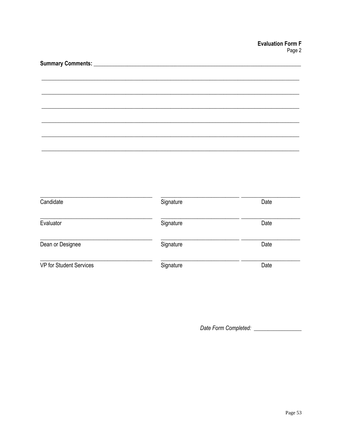| Candidate               | Signature | Date |
|-------------------------|-----------|------|
| Evaluator               | Signature | Date |
| Dean or Designee        | Signature | Date |
| VP for Student Services | Signature | Date |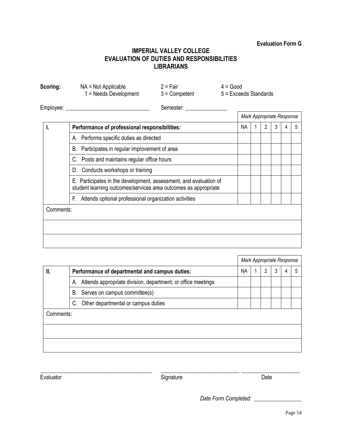#### **Evaluation Form G**

# **IMPERIAL VALLEY COLLEGE EVALUATION OF DUTIES AND RESPONSIBILITIES LIBRARIANS**

| Scoring:  | $NA = Not Applicable$<br>1 = Needs Development                                                                                       | $2 = Fair$<br>$3 =$ Competent | $4 = Good$<br>$5 =$ Exceeds Standards |     |   |                           |   |   |
|-----------|--------------------------------------------------------------------------------------------------------------------------------------|-------------------------------|---------------------------------------|-----|---|---------------------------|---|---|
|           | Employee: __________________________                                                                                                 | Semester:                     |                                       |     |   |                           |   |   |
|           |                                                                                                                                      |                               |                                       |     |   | Mark Appropriate Response |   |   |
| ı.        | Performance of professional responsibilities:                                                                                        |                               |                                       | NA. | 2 | 3                         | 4 | 5 |
|           | A. Performs specific duties as directed                                                                                              |                               |                                       |     |   |                           |   |   |
|           | B. Participates in regular improvement of area                                                                                       |                               |                                       |     |   |                           |   |   |
|           | C. Posts and maintains regular office hours                                                                                          |                               |                                       |     |   |                           |   |   |
|           | D. Conducts workshops or training                                                                                                    |                               |                                       |     |   |                           |   |   |
|           | E. Participates in the development, assessment, and evaluation of<br>student learning outcomes/services area outcomes as appropriate |                               |                                       |     |   |                           |   |   |
|           | F. Attends optional professional organization activities                                                                             |                               |                                       |     |   |                           |   |   |
| Comments: |                                                                                                                                      |                               |                                       |     |   |                           |   |   |
|           |                                                                                                                                      |                               |                                       |     |   |                           |   |   |
|           |                                                                                                                                      |                               |                                       |     |   |                           |   |   |
|           |                                                                                                                                      |                               |                                       |     |   |                           |   |   |

|           |                                                                    | Mark Appropriate Response |  |   |   |   |   |
|-----------|--------------------------------------------------------------------|---------------------------|--|---|---|---|---|
| Ш.        | Performance of departmental and campus duties:                     | <b>NA</b>                 |  | 2 | 3 | 4 | 5 |
|           | Attends appropriate division, department, or office meetings<br>А. |                           |  |   |   |   |   |
|           | Serves on campus committee(s)<br>В.                                |                           |  |   |   |   |   |
|           | Other departmental or campus duties<br>C.                          |                           |  |   |   |   |   |
| Comments: |                                                                    |                           |  |   |   |   |   |
|           |                                                                    |                           |  |   |   |   |   |
|           |                                                                    |                           |  |   |   |   |   |

# Evaluator Date **Date**

\_\_\_\_\_\_\_\_\_\_\_\_\_\_\_\_\_\_\_\_\_\_\_\_\_\_\_\_\_\_\_\_\_\_\_\_\_\_\_\_ \_\_\_\_\_\_\_\_\_\_\_\_\_\_\_\_\_\_\_\_\_\_\_\_\_\_\_\_ \_\_\_\_\_\_\_\_\_\_\_\_\_\_\_\_\_\_\_\_\_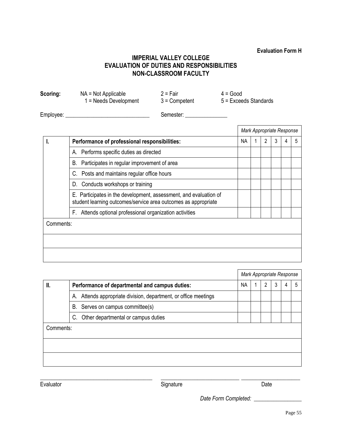# **Evaluation Form H**

# **IMPERIAL VALLEY COLLEGE EVALUATION OF DUTIES AND RESPONSIBILITIES NON-CLASSROOM FACULTY**

**Scoring:** NA = Not Applicable 2 = Fair 4 = Good 1 = Needs Development 3 = Competent 5 = Exceeds Standards Employee: \_\_\_\_\_\_\_\_\_\_\_\_\_\_\_\_\_\_\_\_\_\_\_\_\_\_\_\_\_\_ Semester: \_\_\_\_\_\_\_\_\_\_\_\_\_\_\_

|           |                                                                                                                                        | Mark Appropriate Response |   |   |   |
|-----------|----------------------------------------------------------------------------------------------------------------------------------------|---------------------------|---|---|---|
|           | Performance of professional responsibilities:                                                                                          | NA                        | 2 | 3 | 5 |
|           | Performs specific duties as directed<br>А.                                                                                             |                           |   |   |   |
|           | Participates in regular improvement of area<br>В.                                                                                      |                           |   |   |   |
|           | C. Posts and maintains regular office hours                                                                                            |                           |   |   |   |
|           | Conducts workshops or training<br>D.                                                                                                   |                           |   |   |   |
|           | Participates in the development, assessment, and evaluation of<br>Е.<br>student learning outcomes/service area outcomes as appropriate |                           |   |   |   |
|           | Attends optional professional organization activities<br>F.                                                                            |                           |   |   |   |
| Comments: |                                                                                                                                        |                           |   |   |   |
|           |                                                                                                                                        |                           |   |   |   |
|           |                                                                                                                                        |                           |   |   |   |
|           |                                                                                                                                        |                           |   |   |   |

|           |                                                                    | Mark Appropriate Response |  |   |  |  |  |
|-----------|--------------------------------------------------------------------|---------------------------|--|---|--|--|--|
| II.       | Performance of departmental and campus duties:                     | <b>NA</b>                 |  | 2 |  |  |  |
|           | Attends appropriate division, department, or office meetings<br>А. |                           |  |   |  |  |  |
|           | Serves on campus committee(s)<br>В.                                |                           |  |   |  |  |  |
|           | Other departmental or campus duties<br>C.                          |                           |  |   |  |  |  |
| Comments: |                                                                    |                           |  |   |  |  |  |
|           |                                                                    |                           |  |   |  |  |  |
|           |                                                                    |                           |  |   |  |  |  |
|           |                                                                    |                           |  |   |  |  |  |

| Evaluator |
|-----------|
|-----------|

\_\_\_\_\_\_\_\_\_\_\_\_\_\_\_\_\_\_\_\_\_\_\_\_\_\_\_\_\_\_\_\_\_\_\_\_\_\_\_\_ \_\_\_\_\_\_\_\_\_\_\_\_\_\_\_\_\_\_\_\_\_\_\_\_\_\_\_\_ \_\_\_\_\_\_\_\_\_\_\_\_\_\_\_\_\_\_\_\_\_ Signature Date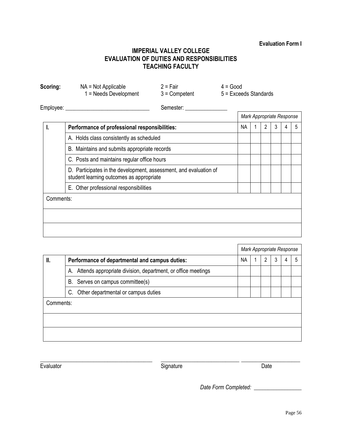# **Evaluation Form I**

# **IMPERIAL VALLEY COLLEGE EVALUATION OF DUTIES AND RESPONSIBILITIES TEACHING FACULTY**

| Scoring:  | $NA = Not Applicable$<br>1 = Needs Development                                                                | $2 = Fair$<br>$3 =$ Competent | $4 = Good$<br>$5 =$ Exceeds Standards |                           |   |   |   |
|-----------|---------------------------------------------------------------------------------------------------------------|-------------------------------|---------------------------------------|---------------------------|---|---|---|
|           | Employee: ____________________                                                                                | Semester:                     |                                       |                           |   |   |   |
|           |                                                                                                               |                               |                                       | Mark Appropriate Response |   |   |   |
| I.        | Performance of professional responsibilities:                                                                 |                               | <b>NA</b>                             | $\mathcal{P}$             | 3 | 4 | 5 |
|           | A. Holds class consistently as scheduled                                                                      |                               |                                       |                           |   |   |   |
|           | B. Maintains and submits appropriate records                                                                  |                               |                                       |                           |   |   |   |
|           | C. Posts and maintains regular office hours                                                                   |                               |                                       |                           |   |   |   |
|           | D. Participates in the development, assessment, and evaluation of<br>student learning outcomes as appropriate |                               |                                       |                           |   |   |   |
|           | E. Other professional responsibilities                                                                        |                               |                                       |                           |   |   |   |
| Comments: |                                                                                                               |                               |                                       |                           |   |   |   |
|           |                                                                                                               |                               |                                       |                           |   |   |   |
|           |                                                                                                               |                               |                                       |                           |   |   |   |

|           |                                                                    | Mark Appropriate Response |   |   |  |
|-----------|--------------------------------------------------------------------|---------------------------|---|---|--|
| II.       | Performance of departmental and campus duties:                     | <b>NA</b>                 | 2 | 4 |  |
|           | Attends appropriate division, department, or office meetings<br>А. |                           |   |   |  |
|           | B. Serves on campus committee(s)                                   |                           |   |   |  |
|           | Other departmental or campus duties<br>C.                          |                           |   |   |  |
| Comments: |                                                                    |                           |   |   |  |
|           |                                                                    |                           |   |   |  |
|           |                                                                    |                           |   |   |  |

| Evaluator |  |
|-----------|--|
|-----------|--|

\_\_\_\_\_\_\_\_\_\_\_\_\_\_\_\_\_\_\_\_\_\_\_\_\_\_\_\_\_\_\_\_\_\_\_\_\_\_\_\_ \_\_\_\_\_\_\_\_\_\_\_\_\_\_\_\_\_\_\_\_\_\_\_\_\_\_\_\_ \_\_\_\_\_\_\_\_\_\_\_\_\_\_\_\_\_\_\_\_\_ Signature Date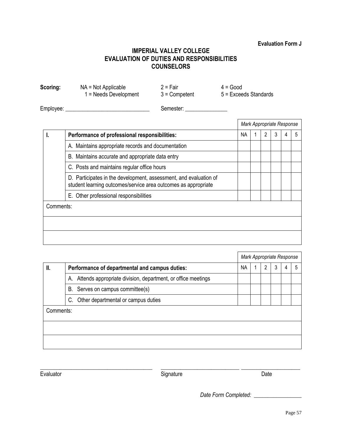#### **Evaluation Form J**

# **IMPERIAL VALLEY COLLEGE EVALUATION OF DUTIES AND RESPONSIBILITIES COUNSELORS**

**Scoring:** NA = Not Applicable 2 = Fair 4 = Good 1 = Needs Development 3 = Competent 5 = Exceeds Standards

Employee: \_\_\_\_\_\_\_\_\_\_\_\_\_\_\_\_\_\_\_\_\_\_\_\_\_\_\_\_\_\_ Semester: \_\_\_\_\_\_\_\_\_\_\_\_\_\_\_

|           |                                                                                                                                     | Mark Appropriate Response |  |   |   |   |   |
|-----------|-------------------------------------------------------------------------------------------------------------------------------------|---------------------------|--|---|---|---|---|
|           | Performance of professional responsibilities:                                                                                       | <b>NA</b>                 |  | 2 | 3 | 4 | 5 |
|           | A. Maintains appropriate records and documentation                                                                                  |                           |  |   |   |   |   |
|           | B. Maintains accurate and appropriate data entry                                                                                    |                           |  |   |   |   |   |
|           | C. Posts and maintains regular office hours                                                                                         |                           |  |   |   |   |   |
|           | D. Participates in the development, assessment, and evaluation of<br>student learning outcomes/service area outcomes as appropriate |                           |  |   |   |   |   |
|           | E. Other professional responsibilities                                                                                              |                           |  |   |   |   |   |
| Comments: |                                                                                                                                     |                           |  |   |   |   |   |
|           |                                                                                                                                     |                           |  |   |   |   |   |
|           |                                                                                                                                     |                           |  |   |   |   |   |
|           |                                                                                                                                     |                           |  |   |   |   |   |

|           |                                                                 | Mark Appropriate Response |  |   |  |  |
|-----------|-----------------------------------------------------------------|---------------------------|--|---|--|--|
| II.       | Performance of departmental and campus duties:                  | <b>NA</b>                 |  | 2 |  |  |
|           | A. Attends appropriate division, department, or office meetings |                           |  |   |  |  |
|           | B. Serves on campus committee(s)                                |                           |  |   |  |  |
|           | Other departmental or campus duties<br>C.                       |                           |  |   |  |  |
| Comments: |                                                                 |                           |  |   |  |  |
|           |                                                                 |                           |  |   |  |  |
|           |                                                                 |                           |  |   |  |  |

Evaluator Date **Contract Contract Contract Contract Contract Contract Contract Contract Contract Contract Contract Contract Contract Contract Contract Contract Contract Contract Contract Contract Contract Contract Contract** 

\_\_\_\_\_\_\_\_\_\_\_\_\_\_\_\_\_\_\_\_\_\_\_\_\_\_\_\_\_\_\_\_\_\_\_\_\_\_\_\_ \_\_\_\_\_\_\_\_\_\_\_\_\_\_\_\_\_\_\_\_\_\_\_\_\_\_\_\_ \_\_\_\_\_\_\_\_\_\_\_\_\_\_\_\_\_\_\_\_\_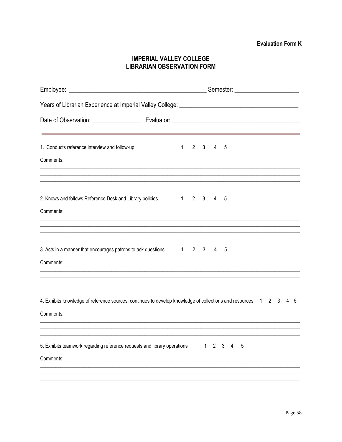# **IMPERIAL VALLEY COLLEGE LIBRARIAN OBSERVATION FORM**

| 1. Conducts reference interview and follow-up                                                                     |  |  |   | $1 \quad 2 \quad 3 \quad 4 \quad 5$ |             |  |  |  |
|-------------------------------------------------------------------------------------------------------------------|--|--|---|-------------------------------------|-------------|--|--|--|
| Comments:                                                                                                         |  |  |   |                                     |             |  |  |  |
|                                                                                                                   |  |  |   |                                     |             |  |  |  |
|                                                                                                                   |  |  |   |                                     |             |  |  |  |
| 2. Knows and follows Reference Desk and Library policies 1 2 3 4<br>Comments:                                     |  |  |   |                                     | -5          |  |  |  |
|                                                                                                                   |  |  |   |                                     |             |  |  |  |
|                                                                                                                   |  |  |   |                                     |             |  |  |  |
| 3. Acts in a manner that encourages patrons to ask questions 12 3 4 5                                             |  |  |   |                                     |             |  |  |  |
| Comments:                                                                                                         |  |  |   |                                     |             |  |  |  |
|                                                                                                                   |  |  |   |                                     |             |  |  |  |
|                                                                                                                   |  |  |   |                                     |             |  |  |  |
| 4. Exhibits knowledge of reference sources, continues to develop knowledge of collections and resources 1 2 3 4 5 |  |  |   |                                     |             |  |  |  |
| Comments:                                                                                                         |  |  |   |                                     |             |  |  |  |
|                                                                                                                   |  |  |   |                                     |             |  |  |  |
| 5. Exhibits teamwork regarding reference requests and library operations                                          |  |  | 1 | $\overline{2}$                      | 5<br>3<br>4 |  |  |  |
| Comments:                                                                                                         |  |  |   |                                     |             |  |  |  |
|                                                                                                                   |  |  |   |                                     |             |  |  |  |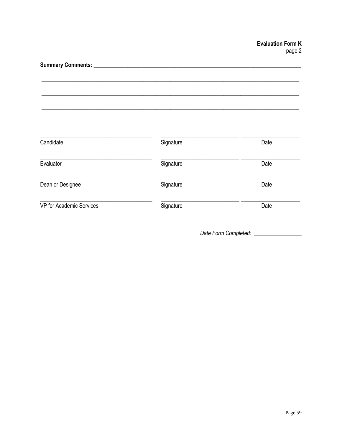| Candidate                | Signature | Date |
|--------------------------|-----------|------|
| Evaluator                | Signature | Date |
| Dean or Designee         | Signature | Date |
| VP for Academic Services | Signature | Date |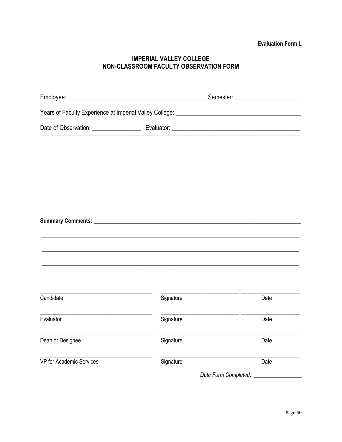# **IMPERIAL VALLEY COLLEGE** NON-CLASSROOM FACULTY OBSERVATION FORM

|                                                                                                                                   |                                                                                   | <u> 1989 - Johann John Stone, markin film yn y brening yn y brening yn y brening yn y brening y brening yn y bre</u> |
|-----------------------------------------------------------------------------------------------------------------------------------|-----------------------------------------------------------------------------------|----------------------------------------------------------------------------------------------------------------------|
|                                                                                                                                   |                                                                                   |                                                                                                                      |
|                                                                                                                                   |                                                                                   |                                                                                                                      |
|                                                                                                                                   |                                                                                   |                                                                                                                      |
|                                                                                                                                   |                                                                                   |                                                                                                                      |
|                                                                                                                                   |                                                                                   |                                                                                                                      |
|                                                                                                                                   |                                                                                   |                                                                                                                      |
|                                                                                                                                   |                                                                                   |                                                                                                                      |
|                                                                                                                                   | ,我们也不能在这里的时候,我们也不能在这里的时候,我们也不能在这里的时候,我们也不能会在这里的时候,我们也不能会在这里的时候,我们也不能会在这里的时候,我们也不能 |                                                                                                                      |
|                                                                                                                                   |                                                                                   |                                                                                                                      |
|                                                                                                                                   |                                                                                   |                                                                                                                      |
|                                                                                                                                   |                                                                                   |                                                                                                                      |
| <u> 1989 - Jan James James Jan James James Jan James James Jan James James Jan Jan James James Jan Jan James Jan</u><br>Candidate | Signature                                                                         | Date                                                                                                                 |
|                                                                                                                                   | Signature                                                                         |                                                                                                                      |
| Evaluator                                                                                                                         |                                                                                   | Date                                                                                                                 |
| Dean or Designee                                                                                                                  | <u> 1980 - Alexandria Statistik, fizik bizi</u><br>Signature                      | Date                                                                                                                 |
| VP for Academic Services                                                                                                          | Signature                                                                         | <u> 1999 - Andre A</u><br>Date                                                                                       |
|                                                                                                                                   |                                                                                   | Date Form Completed: _________                                                                                       |
|                                                                                                                                   |                                                                                   |                                                                                                                      |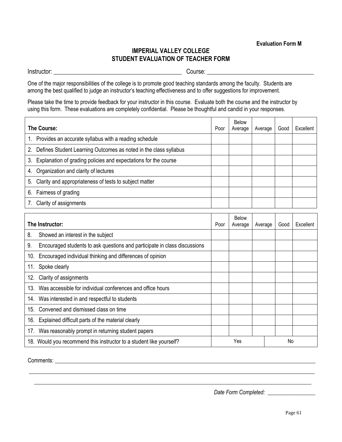# **IMPERIAL VALLEY COLLEGE STUDENT EVALUATION OF TEACHER FORM**

Instructor: \_\_\_\_\_\_\_\_\_\_\_\_\_\_\_\_\_\_\_\_\_\_\_\_\_\_\_\_\_\_\_\_\_\_\_\_\_\_\_\_\_\_ Course: \_\_\_\_\_\_\_\_\_\_\_\_\_\_\_\_\_\_\_\_\_\_\_\_\_\_\_\_\_\_\_\_\_\_\_

One of the major responsibilities of the college is to promote good teaching standards among the faculty. Students are among the best qualified to judge an instructor's teaching effectiveness and to offer suggestions for improvement.

Please take the time to provide feedback for your instructor in this course. Evaluate both the course and the instructor by using this form. These evaluations are completely confidential. Please be thoughtful and candid in your responses.

| The Course:                                                            | Poor | <b>Below</b><br>Average | Average | Good | Excellent |
|------------------------------------------------------------------------|------|-------------------------|---------|------|-----------|
| 1. Provides an accurate syllabus with a reading schedule               |      |                         |         |      |           |
| Defines Student Learning Outcomes as noted in the class syllabus<br>2. |      |                         |         |      |           |
| Explanation of grading policies and expectations for the course<br>3.  |      |                         |         |      |           |
| Organization and clarity of lectures<br>4.                             |      |                         |         |      |           |
| Clarity and appropriateness of tests to subject matter<br>5.           |      |                         |         |      |           |
| 6.<br>Fairness of grading                                              |      |                         |         |      |           |
| Clarity of assignments                                                 |      |                         |         |      |           |

|     | The Instructor:                                                           | Poor | <b>Below</b><br>Average | Average | Good | Excellent |
|-----|---------------------------------------------------------------------------|------|-------------------------|---------|------|-----------|
| 8.  | Showed an interest in the subject                                         |      |                         |         |      |           |
| 9.  | Encouraged students to ask questions and participate in class discussions |      |                         |         |      |           |
| 10. | Encouraged individual thinking and differences of opinion                 |      |                         |         |      |           |
| 11. | Spoke clearly                                                             |      |                         |         |      |           |
|     | 12. Clarity of assignments                                                |      |                         |         |      |           |
| 13. | Was accessible for individual conferences and office hours                |      |                         |         |      |           |
|     | 14. Was interested in and respectful to students                          |      |                         |         |      |           |
| 15. | Convened and dismissed class on time                                      |      |                         |         |      |           |
| 16. | Explained difficult parts of the material clearly                         |      |                         |         |      |           |
|     | 17. Was reasonably prompt in returning student papers                     |      |                         |         |      |           |
|     | 18. Would you recommend this instructor to a student like yourself?       |      | Yes                     |         | No   |           |

\_\_\_\_\_\_\_\_\_\_\_\_\_\_\_\_\_\_\_\_\_\_\_\_\_\_\_\_\_\_\_\_\_\_\_\_\_\_\_\_\_\_\_\_\_\_\_\_\_\_\_\_\_\_\_\_\_\_\_\_\_\_\_\_\_\_\_\_\_\_\_\_\_\_\_\_\_\_\_\_\_\_\_\_\_\_\_\_\_\_\_\_\_\_\_\_\_\_\_\_\_\_  $\_$  , and the set of the set of the set of the set of the set of the set of the set of the set of the set of the set of the set of the set of the set of the set of the set of the set of the set of the set of the set of th

Comments: \_\_\_\_\_\_\_\_\_\_\_\_\_\_\_\_\_\_\_\_\_\_\_\_\_\_\_\_\_\_\_\_\_\_\_\_\_\_\_\_\_\_\_\_\_\_\_\_\_\_\_\_\_\_\_\_\_\_\_\_\_\_\_\_\_\_\_\_\_\_\_\_\_\_\_\_\_\_\_\_\_\_\_\_\_\_\_\_\_\_\_\_\_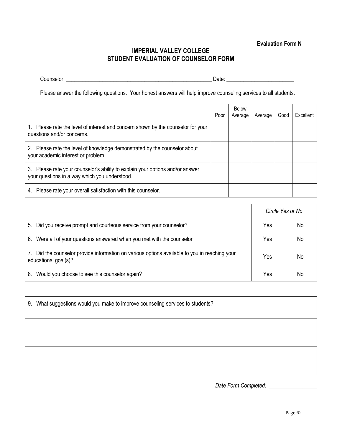# **IMPERIAL VALLEY COLLEGE STUDENT EVALUATION OF COUNSELOR FORM**

| ้านทริลโดเ | <b>TATE</b> |  |
|------------|-------------|--|
|            | ້           |  |

Please answer the following questions. Your honest answers will help improve counseling services to all students.

|                                                                                                                                | Poor | <b>Below</b><br>Average | Average | Good | Excellent |
|--------------------------------------------------------------------------------------------------------------------------------|------|-------------------------|---------|------|-----------|
| 1. Please rate the level of interest and concern shown by the counselor for your<br>questions and/or concerns.                 |      |                         |         |      |           |
| 2. Please rate the level of knowledge demonstrated by the counselor about<br>your academic interest or problem.                |      |                         |         |      |           |
| 3. Please rate your counselor's ability to explain your options and/or answer<br>your questions in a way which you understood. |      |                         |         |      |           |
| Please rate your overall satisfaction with this counselor.<br>4.                                                               |      |                         |         |      |           |

|                                                                                                                          | Circle Yes or No |    |  |
|--------------------------------------------------------------------------------------------------------------------------|------------------|----|--|
| Did you receive prompt and courteous service from your counselor?<br>5.                                                  | Yes              | No |  |
| 6. Were all of your questions answered when you met with the counselor                                                   | Yes              | No |  |
| Did the counselor provide information on various options available to you in reaching your<br>7.<br>educational goal(s)? | Yes              | No |  |
| Would you choose to see this counselor again?<br>8.                                                                      | Yes              | No |  |

| 9. What suggestions would you make to improve counseling services to students? |  |
|--------------------------------------------------------------------------------|--|
|                                                                                |  |
|                                                                                |  |
|                                                                                |  |
|                                                                                |  |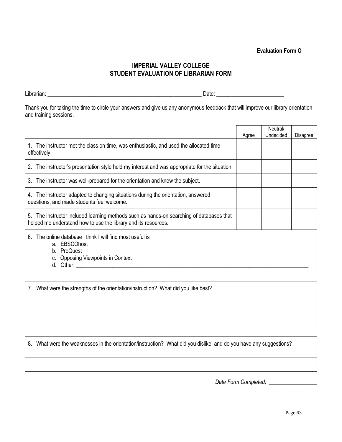# **Evaluation Form O**

# **IMPERIAL VALLEY COLLEGE STUDENT EVALUATION OF LIBRARIAN FORM**

Librarian: The Contract of Contract of Contract of Contract of Contract of Contract of Contract of Contract of Contract of Contract of Contract of Contract of Contract of Contract of Contract of Contract of Contract of Con

Thank you for taking the time to circle your answers and give us any anonymous feedback that will improve our library orientation and training sessions.

|                                                                                                                                                               | Agree | Neutral/<br>Undecided | Disagree |  |
|---------------------------------------------------------------------------------------------------------------------------------------------------------------|-------|-----------------------|----------|--|
| The instructor met the class on time, was enthusiastic, and used the allocated time<br>effectively.                                                           |       |                       |          |  |
| The instructor's presentation style held my interest and was appropriate for the situation.<br>2.                                                             |       |                       |          |  |
| 3. The instructor was well-prepared for the orientation and knew the subject.                                                                                 |       |                       |          |  |
| 4. The instructor adapted to changing situations during the orientation, answered<br>questions, and made students feel welcome.                               |       |                       |          |  |
| The instructor included learning methods such as hands-on searching of databases that<br>5.<br>helped me understand how to use the library and its resources. |       |                       |          |  |
| The online database I think I will find most useful is<br>6.<br>a. EBSCOhost<br>b. ProQuest<br>c. Opposing Viewpoints in Context<br>d. Other:                 |       |                       |          |  |

7. What were the strengths of the orientation/instruction? What did you like best?

8. What were the weaknesses in the orientation/instruction? What did you dislike, and do you have any suggestions?